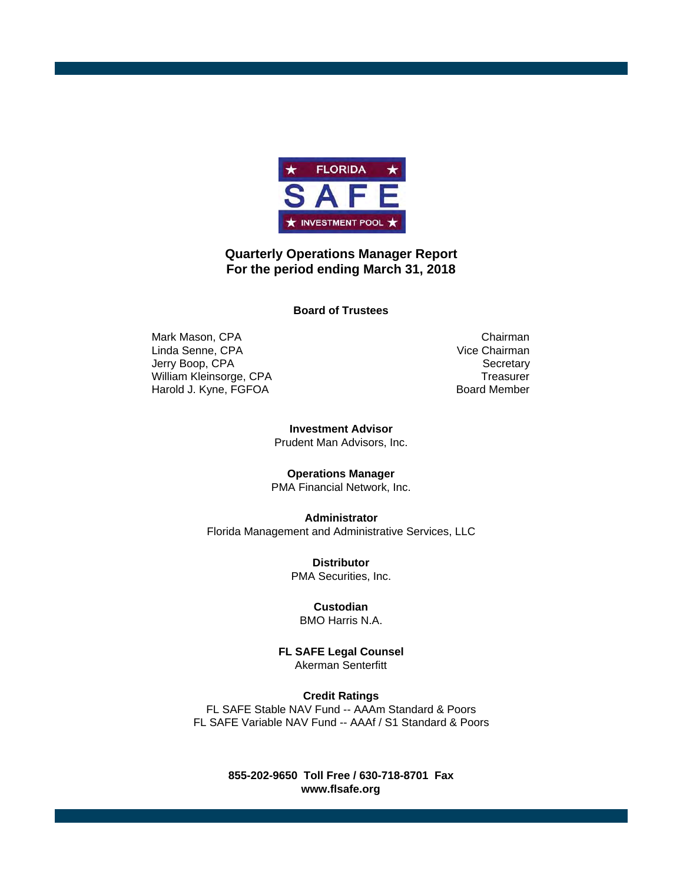

#### **Quarterly Operations Manager Report For the period ending March 31, 2018**

**Board of Trustees**

Mark Mason, CPA Chairman<br>
Linda Senne, CPA Chairman<br>
Vice Chairman Linda Senne, CPA Jerry Boop, CPA Secretary William Kleinsorge, CPA Treasurer Harold J. Kyne, FGFOA Board Member

**Investment Advisor** Prudent Man Advisors, Inc.

**Operations Manager**

PMA Financial Network, Inc.

**Administrator** Florida Management and Administrative Services, LLC

> **Distributor** PMA Securities, Inc.

**Custodian** BMO Harris N.A.

**FL SAFE Legal Counsel** Akerman Senterfitt

**Credit Ratings** FL SAFE Stable NAV Fund -- AAAm Standard & Poors FL SAFE Variable NAV Fund -- AAAf / S1 Standard & Poors

> **www.flsafe.org 855-202-9650 Toll Free / 630-718-8701 Fax**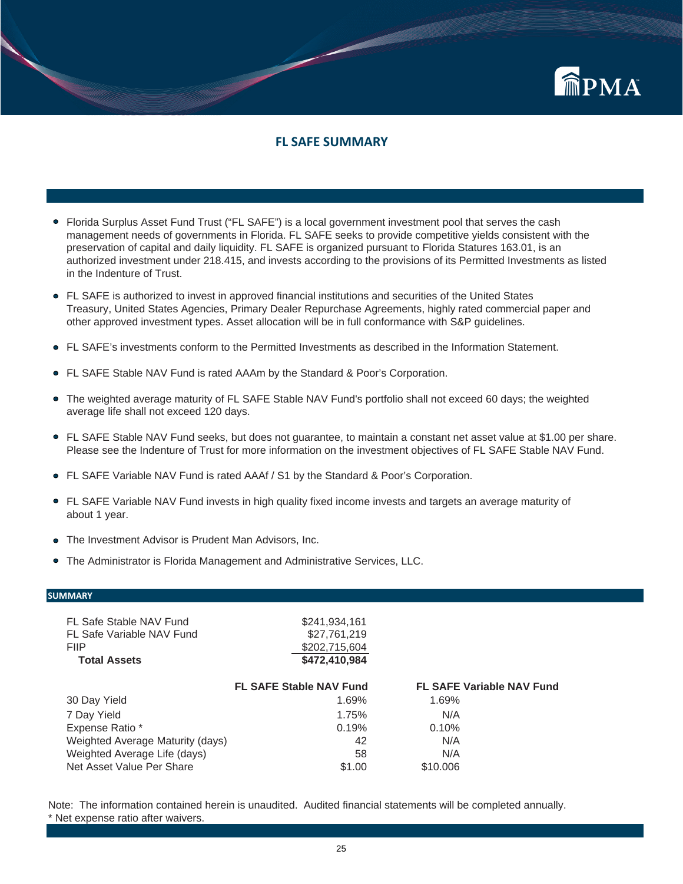

#### **FL SAFE SUMMARY**

- Florida Surplus Asset Fund Trust ("FL SAFE") is a local government investment pool that serves the cash management needs of governments in Florida. FL SAFE seeks to provide competitive yields consistent with the preservation of capital and daily liquidity. FL SAFE is organized pursuant to Florida Statures 163.01, is an authorized investment under 218.415, and invests according to the provisions of its Permitted Investments as listed in the Indenture of Trust.
- FL SAFE is authorized to invest in approved financial institutions and securities of the United States Treasury, United States Agencies, Primary Dealer Repurchase Agreements, highly rated commercial paper and other approved investment types. Asset allocation will be in full conformance with S&P guidelines.
- FL SAFE's investments conform to the Permitted Investments as described in the Information Statement.
- FL SAFE Stable NAV Fund is rated AAAm by the Standard & Poor's Corporation.
- The weighted average maturity of FL SAFE Stable NAV Fund's portfolio shall not exceed 60 days; the weighted average life shall not exceed 120 days.
- FL SAFE Stable NAV Fund seeks, but does not guarantee, to maintain a constant net asset value at \$1.00 per share. Please see the Indenture of Trust for more information on the investment objectives of FL SAFE Stable NAV Fund.
- FL SAFE Variable NAV Fund is rated AAAf / S1 by the Standard & Poor's Corporation.
- FL SAFE Variable NAV Fund invests in high quality fixed income invests and targets an average maturity of about 1 year.
- The Investment Advisor is Prudent Man Advisors, Inc.
- The Administrator is Florida Management and Administrative Services, LLC.

#### **SUMMARY**

| FL Safe Stable NAV Fund          | \$241,934,161                  |                                  |
|----------------------------------|--------------------------------|----------------------------------|
| FL Safe Variable NAV Fund        | \$27,761,219                   |                                  |
| <b>FIIP</b>                      | \$202,715,604                  |                                  |
| <b>Total Assets</b>              | \$472,410,984                  |                                  |
|                                  | <b>FL SAFE Stable NAV Fund</b> | <b>FL SAFE Variable NAV Fund</b> |
| 30 Day Yield                     | 1.69%                          | 1.69%                            |
| 7 Day Yield                      | 1.75%                          | N/A                              |
| Expense Ratio *                  | 0.19%                          | 0.10%                            |
| Weighted Average Maturity (days) | 42                             | N/A                              |
| Weighted Average Life (days)     | 58                             | N/A                              |
| Net Asset Value Per Share        | \$1.00                         | \$10,006                         |
|                                  |                                |                                  |

Note: The information contained herein is unaudited. Audited financial statements will be completed annually. \* Net expense ratio after waivers.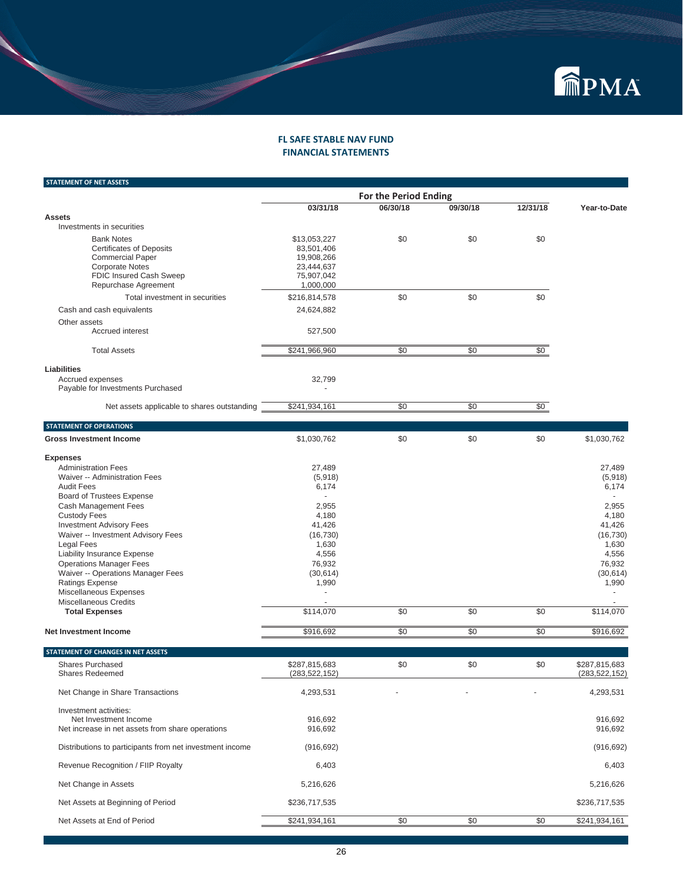

#### **FL SAFE STABLE NAV FUND FINANCIAL STATEMENTS**

| <b>STATEMENT OF NET ASSETS</b>                                                                                                                               |                                                                                   |          |                 |          |              |
|--------------------------------------------------------------------------------------------------------------------------------------------------------------|-----------------------------------------------------------------------------------|----------|-----------------|----------|--------------|
|                                                                                                                                                              |                                                                                   |          |                 |          |              |
|                                                                                                                                                              | 03/31/18                                                                          | 06/30/18 | 09/30/18        | 12/31/18 | Year-to-Date |
| <b>Assets</b>                                                                                                                                                |                                                                                   |          |                 |          |              |
| Investments in securities                                                                                                                                    |                                                                                   |          |                 |          |              |
| <b>Bank Notes</b><br><b>Certificates of Deposits</b><br><b>Commercial Paper</b><br><b>Corporate Notes</b><br>FDIC Insured Cash Sweep<br>Repurchase Agreement | \$13,053,227<br>83,501,406<br>19,908,266<br>23,444,637<br>75,907,042<br>1,000,000 | \$0      | \$0             | \$0      |              |
| Total investment in securities                                                                                                                               | \$216,814,578                                                                     | \$0      | \$0             | \$0      |              |
| Cash and cash equivalents                                                                                                                                    | 24,624,882                                                                        |          |                 |          |              |
| Other assets<br>Accrued interest                                                                                                                             | 527,500                                                                           |          |                 |          |              |
| <b>Total Assets</b>                                                                                                                                          | \$241,966,960                                                                     | \$0      | \$0             | \$0      |              |
| Liabilities                                                                                                                                                  |                                                                                   |          |                 |          |              |
| Accrued expenses<br>Payable for Investments Purchased                                                                                                        | 32,799                                                                            |          |                 |          |              |
| Net assets applicable to shares outstanding                                                                                                                  | \$241,934,161                                                                     | \$0      | $\overline{50}$ | \$0      |              |
| <b>STATEMENT OF OPERATIONS</b>                                                                                                                               |                                                                                   |          |                 |          |              |
| <b>Gross Investment Income</b>                                                                                                                               | \$1,030,762                                                                       | \$0      | \$0             | \$0      | \$1,030,762  |
| <b>Expenses</b>                                                                                                                                              |                                                                                   |          |                 |          |              |
| <b>Administration Fees</b>                                                                                                                                   | 27,489                                                                            |          |                 |          | 27,489       |
| Waiver -- Administration Fees                                                                                                                                | (5,918)                                                                           |          |                 |          | (5,918)      |
| <b>Audit Fees</b>                                                                                                                                            | 6,174                                                                             |          |                 |          | 6,174        |
| <b>Board of Trustees Expense</b>                                                                                                                             |                                                                                   |          |                 |          |              |
| Cash Management Fees                                                                                                                                         | 2,955                                                                             |          |                 |          | 2,955        |
| <b>Custody Fees</b>                                                                                                                                          | 4,180                                                                             |          |                 |          | 4,180        |
| <b>Investment Advisory Fees</b>                                                                                                                              | 41,426                                                                            |          |                 |          | 41,426       |
| Waiver -- Investment Advisory Fees                                                                                                                           | (16, 730)                                                                         |          |                 |          | (16, 730)    |
| <b>Legal Fees</b>                                                                                                                                            | 1,630                                                                             |          |                 |          | 1,630        |
| Liability Insurance Expense                                                                                                                                  | 4.556                                                                             |          |                 |          | 4,556        |

| <b>Operations Manager Fees</b>    | 76.932    |     |     |     | 76.932    |
|-----------------------------------|-----------|-----|-----|-----|-----------|
| Waiver -- Operations Manager Fees | (30, 614) |     |     |     | (30, 614) |
| Ratings Expense                   | 1.990     |     |     |     | 1,990     |
| Miscellaneous Expenses            | -         |     |     |     | $\sim$    |
| Miscellaneous Credits             |           |     |     |     |           |
| <b>Total Expenses</b>             | \$114.070 | \$0 | \$C | \$0 | \$114.070 |
| Net Investment Income             | \$916.692 | \$0 |     | \$0 | \$916.692 |

| STATEMENT OF CHANGES IN NET ASSETS                                                                  |                                  |     |     |     |                                  |
|-----------------------------------------------------------------------------------------------------|----------------------------------|-----|-----|-----|----------------------------------|
| Shares Purchased<br><b>Shares Redeemed</b>                                                          | \$287,815,683<br>(283, 522, 152) | \$0 | \$0 | \$0 | \$287,815,683<br>(283, 522, 152) |
| Net Change in Share Transactions                                                                    | 4,293,531                        |     |     |     | 4,293,531                        |
| Investment activities:<br>Net Investment Income<br>Net increase in net assets from share operations | 916,692<br>916,692               |     |     |     | 916,692<br>916,692               |
| Distributions to participants from net investment income                                            | (916, 692)                       |     |     |     | (916, 692)                       |
| Revenue Recognition / FIIP Royalty                                                                  | 6,403                            |     |     |     | 6,403                            |
| Net Change in Assets                                                                                | 5,216,626                        |     |     |     | 5,216,626                        |
| Net Assets at Beginning of Period                                                                   | \$236,717,535                    |     |     |     | \$236,717,535                    |
| Net Assets at End of Period                                                                         | \$241,934,161                    | \$0 | \$0 | \$0 | \$241,934,161                    |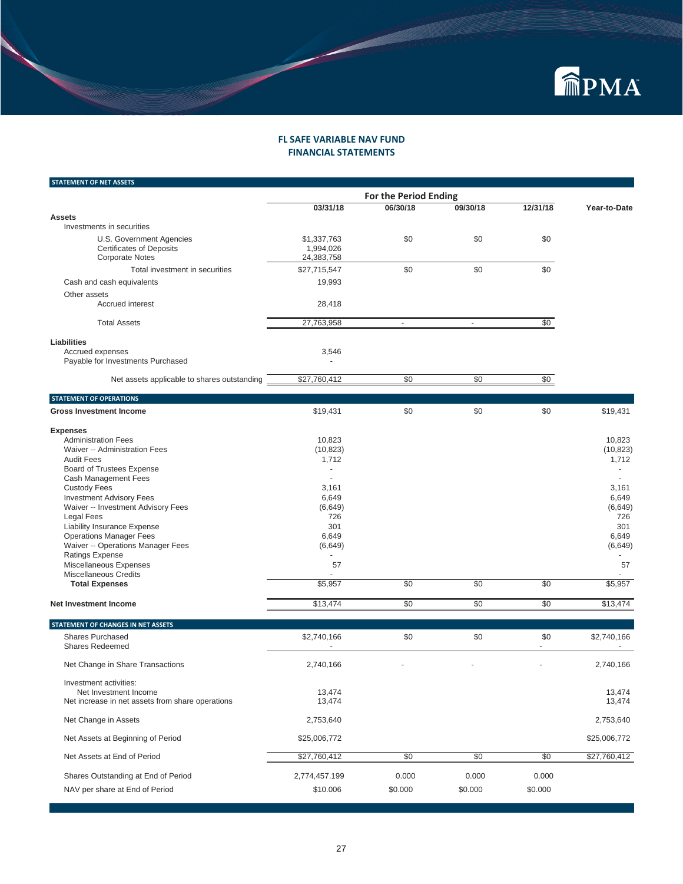

#### **FINANCIAL STATEMENTS FL SAFE VARIABLE NAV FUND**

| <b>STATEMENT OF NET ASSETS</b>                              |                          |                              |          |          |              |
|-------------------------------------------------------------|--------------------------|------------------------------|----------|----------|--------------|
|                                                             |                          | <b>For the Period Ending</b> |          |          |              |
|                                                             | 03/31/18                 | 06/30/18                     | 09/30/18 | 12/31/18 | Year-to-Date |
| <b>Assets</b><br>Investments in securities                  |                          |                              |          |          |              |
| U.S. Government Agencies<br><b>Certificates of Deposits</b> | \$1,337,763<br>1,994,026 | \$0                          | \$0      | \$0      |              |
| <b>Corporate Notes</b>                                      | 24,383,758               |                              |          |          |              |
| Total investment in securities                              | \$27,715,547             | \$0                          | \$0      | \$0      |              |
| Cash and cash equivalents                                   | 19,993                   |                              |          |          |              |
| Other assets<br>Accrued interest                            | 28,418                   |                              |          |          |              |
| <b>Total Assets</b>                                         | 27,763,958               | $\omega$                     | $\omega$ | \$0      |              |
| <b>Liabilities</b>                                          |                          |                              |          |          |              |
| Accrued expenses<br>Payable for Investments Purchased       | 3,546                    |                              |          |          |              |
| Net assets applicable to shares outstanding                 | \$27,760,412             | \$0                          | \$0      | \$0      |              |
| <b>STATEMENT OF OPERATIONS</b>                              |                          |                              |          |          |              |
| <b>Gross Investment Income</b>                              | \$19,431                 | \$0                          | \$0      | \$0      | \$19,431     |
| <b>Expenses</b>                                             |                          |                              |          |          |              |
| <b>Administration Fees</b>                                  | 10,823                   |                              |          |          | 10,823       |
| Waiver -- Administration Fees                               | (10, 823)                |                              |          |          | (10, 823)    |
| <b>Audit Fees</b>                                           | 1,712<br>÷,              |                              |          |          | 1,712        |
| Board of Trustees Expense<br>Cash Management Fees           |                          |                              |          |          |              |
| <b>Custody Fees</b>                                         | 3,161                    |                              |          |          | 3,161        |
| <b>Investment Advisory Fees</b>                             | 6,649                    |                              |          |          | 6,649        |
| Waiver -- Investment Advisory Fees                          | (6,649)                  |                              |          |          | (6, 649)     |
| Legal Fees                                                  | 726                      |                              |          |          | 726          |
| <b>Liability Insurance Expense</b>                          | 301                      |                              |          |          | 301          |
| <b>Operations Manager Fees</b>                              | 6,649                    |                              |          |          | 6,649        |
| Waiver -- Operations Manager Fees                           | (6,649)                  |                              |          |          | (6,649)      |
| <b>Ratings Expense</b>                                      | ä,                       |                              |          |          |              |
| Miscellaneous Expenses                                      | 57                       |                              |          |          | 57           |
| Miscellaneous Credits<br><b>Total Expenses</b>              | \$5,957                  | \$0                          | \$0      | \$0      | \$5,957      |
|                                                             |                          |                              |          |          |              |
| Net Investment Income                                       | \$13,474                 | \$0                          | \$0      | \$0      | \$13,474     |
| STATEMENT OF CHANGES IN NET ASSETS                          |                          |                              |          |          |              |
| <b>Shares Purchased</b><br><b>Shares Redeemed</b>           | \$2,740,166<br>ä,        | \$0                          | \$0      | \$0<br>÷ | \$2,740,166  |
| Net Change in Share Transactions                            | 2,740,166                |                              |          |          | 2,740,166    |
| Investment activities:                                      |                          |                              |          |          |              |
| Net Investment Income                                       | 13,474                   |                              |          |          | 13,474       |
| Net increase in net assets from share operations            | 13,474                   |                              |          |          | 13,474       |
| Net Change in Assets                                        | 2,753,640                |                              |          |          | 2,753,640    |
| Net Assets at Beginning of Period                           | \$25,006,772             |                              |          |          | \$25,006,772 |
| Net Assets at End of Period                                 | \$27,760,412             | \$0                          | \$0      | \$0      | \$27,760,412 |
| Shares Outstanding at End of Period                         | 2,774,457.199            | 0.000                        | 0.000    | 0.000    |              |
| NAV per share at End of Period                              | \$10.006                 | \$0.000                      | \$0.000  | \$0.000  |              |
|                                                             |                          |                              |          |          |              |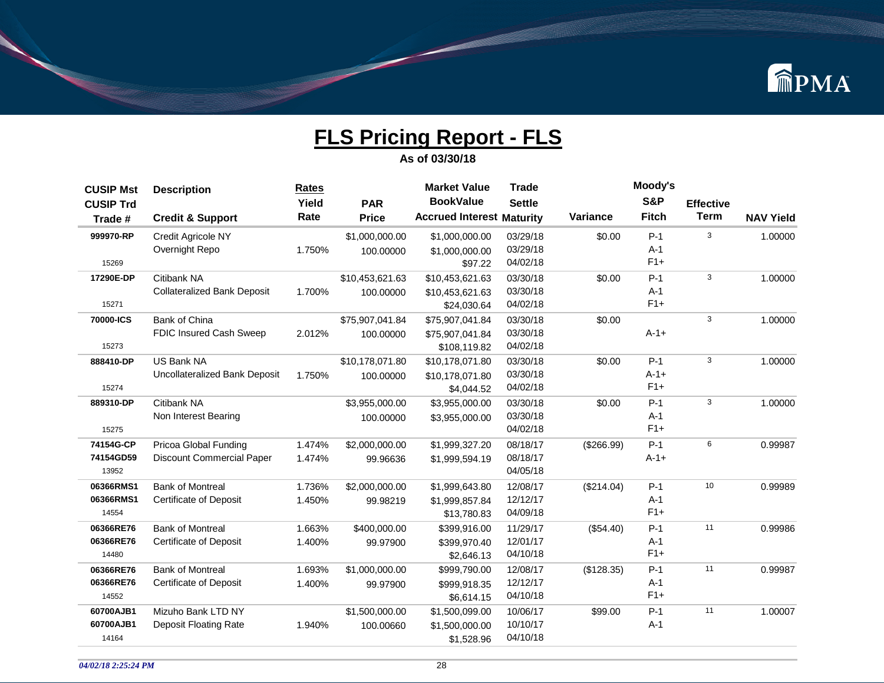

| <b>CUSIP Mst</b> | <b>Description</b>                 | <b>Rates</b> |                 | <b>Market Value</b>              | <b>Trade</b>  |            | Moody's        |                  |                  |
|------------------|------------------------------------|--------------|-----------------|----------------------------------|---------------|------------|----------------|------------------|------------------|
| <b>CUSIP Trd</b> |                                    | Yield        | <b>PAR</b>      | <b>BookValue</b>                 | <b>Settle</b> |            | <b>S&amp;P</b> | <b>Effective</b> |                  |
| Trade #          | <b>Credit &amp; Support</b>        | Rate         | <b>Price</b>    | <b>Accrued Interest Maturity</b> |               | Variance   | <b>Fitch</b>   | <b>Term</b>      | <b>NAV Yield</b> |
| 999970-RP        | <b>Credit Agricole NY</b>          |              | \$1,000,000.00  | \$1,000,000.00                   | 03/29/18      | \$0.00     | $P-1$          | 3                | 1.00000          |
|                  | Overnight Repo                     | 1.750%       | 100.00000       | \$1,000,000.00                   | 03/29/18      |            | $A-1$          |                  |                  |
| 15269            |                                    |              |                 | \$97.22                          | 04/02/18      |            | $F1+$          |                  |                  |
| 17290E-DP        | Citibank NA                        |              | \$10,453,621.63 | \$10,453,621.63                  | 03/30/18      | \$0.00     | $P-1$          | 3                | 1.00000          |
|                  | <b>Collateralized Bank Deposit</b> | 1.700%       | 100.00000       | \$10,453,621.63                  | 03/30/18      |            | $A-1$          |                  |                  |
| 15271            |                                    |              |                 | \$24,030.64                      | 04/02/18      |            | $F1+$          |                  |                  |
| 70000-ICS        | <b>Bank of China</b>               |              | \$75,907,041.84 | \$75,907,041.84                  | 03/30/18      | \$0.00     |                | 3                | 1.00000          |
|                  | FDIC Insured Cash Sweep            | 2.012%       | 100.00000       | \$75,907,041.84                  | 03/30/18      |            | $A - 1 +$      |                  |                  |
| 15273            |                                    |              |                 | \$108,119.82                     | 04/02/18      |            |                |                  |                  |
| 888410-DP        | US Bank NA                         |              | \$10,178,071.80 | \$10,178,071.80                  | 03/30/18      | \$0.00     | $P-1$          | 3                | 1.00000          |
|                  | Uncollateralized Bank Deposit      | 1.750%       | 100.00000       | \$10,178,071.80                  | 03/30/18      |            | $A-1+$         |                  |                  |
| 15274            |                                    |              |                 | \$4,044.52                       | 04/02/18      |            | $F1+$          |                  |                  |
| 889310-DP        | Citibank NA                        |              | \$3,955,000.00  | \$3,955,000.00                   | 03/30/18      | \$0.00     | $P-1$          | 3                | 1.00000          |
|                  | Non Interest Bearing               |              | 100.00000       | \$3,955,000.00                   | 03/30/18      |            | $A-1$          |                  |                  |
| 15275            |                                    |              |                 |                                  | 04/02/18      |            | $F1+$          |                  |                  |
| 74154G-CP        | Pricoa Global Funding              | 1.474%       | \$2,000,000.00  | \$1,999,327.20                   | 08/18/17      | (\$266.99) | $P-1$          | 6                | 0.99987          |
| 74154GD59        | <b>Discount Commercial Paper</b>   | 1.474%       | 99.96636        | \$1,999,594.19                   | 08/18/17      |            | $A - 1 +$      |                  |                  |
| 13952            |                                    |              |                 |                                  | 04/05/18      |            |                |                  |                  |
| 06366RMS1        | <b>Bank of Montreal</b>            | 1.736%       | \$2,000,000.00  | \$1,999,643.80                   | 12/08/17      | (\$214.04) | $P-1$          | 10               | 0.99989          |
| 06366RMS1        | <b>Certificate of Deposit</b>      | 1.450%       | 99.98219        | \$1,999,857.84                   | 12/12/17      |            | $A-1$          |                  |                  |
| 14554            |                                    |              |                 | \$13,780.83                      | 04/09/18      |            | $F1+$          |                  |                  |
| 06366RE76        | <b>Bank of Montreal</b>            | 1.663%       | \$400,000.00    | \$399,916.00                     | 11/29/17      | (\$54.40)  | $P-1$          | 11               | 0.99986          |
| 06366RE76        | <b>Certificate of Deposit</b>      | 1.400%       | 99.97900        | \$399,970.40                     | 12/01/17      |            | $A-1$          |                  |                  |
| 14480            |                                    |              |                 | \$2,646.13                       | 04/10/18      |            | $F1+$          |                  |                  |
| 06366RE76        | <b>Bank of Montreal</b>            | 1.693%       | \$1,000,000.00  | \$999,790.00                     | 12/08/17      | (\$128.35) | $P-1$          | 11               | 0.99987          |
| 06366RE76        | <b>Certificate of Deposit</b>      | 1.400%       | 99.97900        | \$999,918.35                     | 12/12/17      |            | $A-1$          |                  |                  |
| 14552            |                                    |              |                 | \$6,614.15                       | 04/10/18      |            | $F1+$          |                  |                  |
| 60700AJB1        | Mizuho Bank LTD NY                 |              | \$1,500,000.00  | \$1,500,099.00                   | 10/06/17      | \$99.00    | $P-1$          | 11               | 1.00007          |
| 60700AJB1        | Deposit Floating Rate              | 1.940%       | 100.00660       | \$1,500,000.00                   | 10/10/17      |            | $A-1$          |                  |                  |
| 14164            |                                    |              |                 | \$1,528.96                       | 04/10/18      |            |                |                  |                  |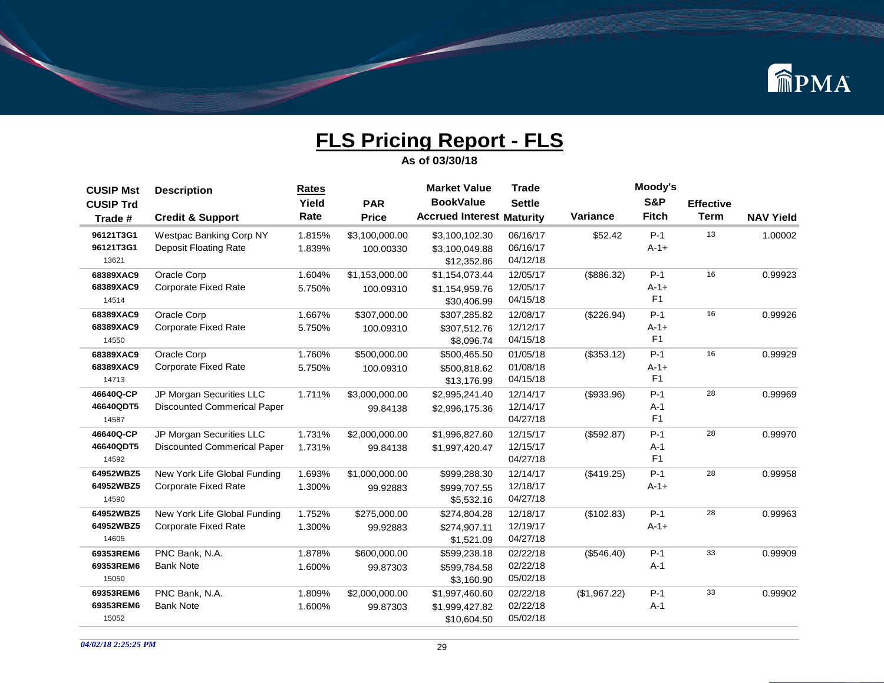

| <b>CUSIP Mst</b> | <b>Description</b>                 | Rates  |                | <b>Market Value</b>              | <b>Trade</b>  |                 | Moody's        |                  |                  |
|------------------|------------------------------------|--------|----------------|----------------------------------|---------------|-----------------|----------------|------------------|------------------|
| <b>CUSIP Trd</b> |                                    | Yield  | <b>PAR</b>     | <b>BookValue</b>                 | <b>Settle</b> |                 | <b>S&amp;P</b> | <b>Effective</b> |                  |
| Trade #          | <b>Credit &amp; Support</b>        | Rate   | <b>Price</b>   | <b>Accrued Interest Maturity</b> |               | <b>Variance</b> | <b>Fitch</b>   | <b>Term</b>      | <b>NAV Yield</b> |
| 96121T3G1        | Westpac Banking Corp NY            | 1.815% | \$3,100,000.00 | \$3,100,102.30                   | 06/16/17      | \$52.42         | $P-1$          | 13               | 1.00002          |
| 96121T3G1        | Deposit Floating Rate              | 1.839% | 100.00330      | \$3,100,049.88                   | 06/16/17      |                 | $A - 1 +$      |                  |                  |
| 13621            |                                    |        |                | \$12,352.86                      | 04/12/18      |                 |                |                  |                  |
| 68389XAC9        | Oracle Corp                        | 1.604% | \$1,153,000.00 | \$1,154,073.44                   | 12/05/17      | (\$886.32)      | $P-1$          | 16               | 0.99923          |
| 68389XAC9        | <b>Corporate Fixed Rate</b>        | 5.750% | 100.09310      | \$1,154,959.76                   | 12/05/17      |                 | $A - 1 +$      |                  |                  |
| 14514            |                                    |        |                | \$30,406.99                      | 04/15/18      |                 | F <sub>1</sub> |                  |                  |
| 68389XAC9        | Oracle Corp                        | 1.667% | \$307,000.00   | \$307,285.82                     | 12/08/17      | (\$226.94)      | $P-1$          | 16               | 0.99926          |
| 68389XAC9        | <b>Corporate Fixed Rate</b>        | 5.750% | 100.09310      | \$307,512.76                     | 12/12/17      |                 | $A - 1 +$      |                  |                  |
| 14550            |                                    |        |                | \$8,096.74                       | 04/15/18      |                 | F <sub>1</sub> |                  |                  |
| 68389XAC9        | Oracle Corp                        | 1.760% | \$500,000.00   | \$500,465.50                     | 01/05/18      | (\$353.12)      | $P-1$          | 16               | 0.99929          |
| 68389XAC9        | <b>Corporate Fixed Rate</b>        | 5.750% | 100.09310      | \$500,818.62                     | 01/08/18      |                 | $A - 1 +$      |                  |                  |
| 14713            |                                    |        |                | \$13,176.99                      | 04/15/18      |                 | F <sub>1</sub> |                  |                  |
| 46640Q-CP        | JP Morgan Securities LLC           | 1.711% | \$3,000,000.00 | \$2,995,241.40                   | 12/14/17      | (\$933.96)      | $P-1$          | 28               | 0.99969          |
| 46640QDT5        | <b>Discounted Commerical Paper</b> |        | 99.84138       | \$2,996,175.36                   | 12/14/17      |                 | $A-1$          |                  |                  |
| 14587            |                                    |        |                |                                  | 04/27/18      |                 | F <sub>1</sub> |                  |                  |
| 46640Q-CP        | JP Morgan Securities LLC           | 1.731% | \$2,000,000.00 | \$1,996,827.60                   | 12/15/17      | (\$592.87)      | $P-1$          | 28               | 0.99970          |
| 46640QDT5        | <b>Discounted Commerical Paper</b> | 1.731% | 99.84138       | \$1,997,420.47                   | 12/15/17      |                 | $A-1$          |                  |                  |
| 14592            |                                    |        |                |                                  | 04/27/18      |                 | F <sub>1</sub> |                  |                  |
| 64952WBZ5        | New York Life Global Funding       | 1.693% | \$1,000,000.00 | \$999,288.30                     | 12/14/17      | (\$419.25)      | $P-1$          | 28               | 0.99958          |
| 64952WBZ5        | <b>Corporate Fixed Rate</b>        | 1.300% | 99.92883       | \$999,707.55                     | 12/18/17      |                 | $A - 1 +$      |                  |                  |
| 14590            |                                    |        |                | \$5,532.16                       | 04/27/18      |                 |                |                  |                  |
| 64952WBZ5        | New York Life Global Funding       | 1.752% | \$275,000.00   | \$274,804.28                     | 12/18/17      | (\$102.83)      | $P-1$          | 28               | 0.99963          |
| 64952WBZ5        | <b>Corporate Fixed Rate</b>        | 1.300% | 99.92883       | \$274,907.11                     | 12/19/17      |                 | $A - 1 +$      |                  |                  |
| 14605            |                                    |        |                | \$1,521.09                       | 04/27/18      |                 |                |                  |                  |
| 69353REM6        | PNC Bank, N.A.                     | 1.878% | \$600,000.00   | \$599,238.18                     | 02/22/18      | (\$546.40)      | $P-1$          | 33               | 0.99909          |
| 69353REM6        | <b>Bank Note</b>                   | 1.600% | 99.87303       | \$599,784.58                     | 02/22/18      |                 | $A-1$          |                  |                  |
| 15050            |                                    |        |                | \$3,160.90                       | 05/02/18      |                 |                |                  |                  |
| 69353REM6        | PNC Bank, N.A.                     | 1.809% | \$2,000,000.00 | \$1,997,460.60                   | 02/22/18      | (\$1,967.22)    | $P-1$          | 33               | 0.99902          |
| 69353REM6        | <b>Bank Note</b>                   | 1.600% | 99.87303       | \$1,999,427.82                   | 02/22/18      |                 | $A-1$          |                  |                  |
| 15052            |                                    |        |                | \$10,604.50                      | 05/02/18      |                 |                |                  |                  |
|                  |                                    |        |                |                                  |               |                 |                |                  |                  |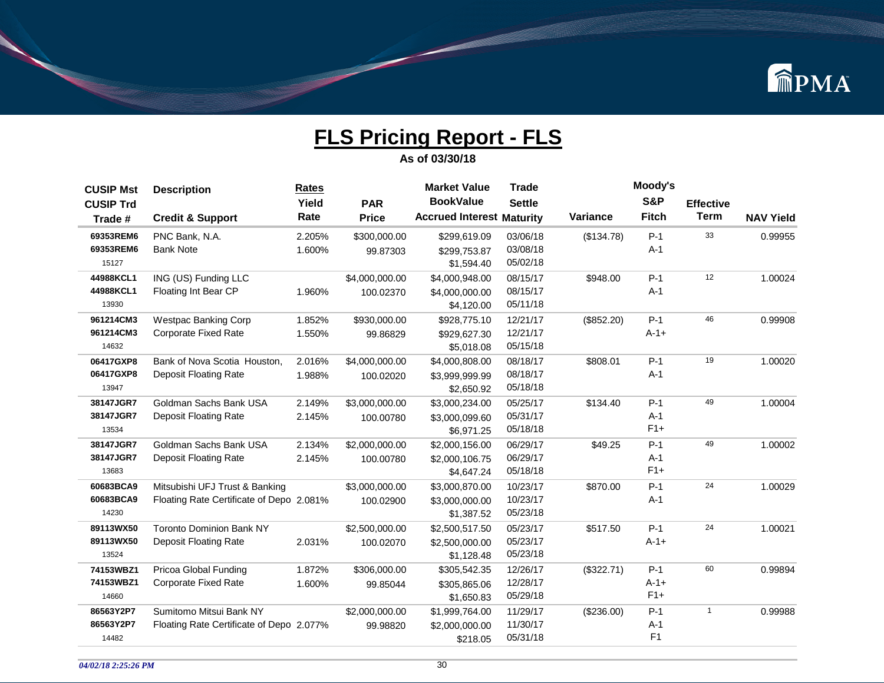

| <b>CUSIP Mst</b> | <b>Description</b>                       | <b>Rates</b> |                | <b>Market Value</b>              | <b>Trade</b>  |            | Moody's        |                  |                  |
|------------------|------------------------------------------|--------------|----------------|----------------------------------|---------------|------------|----------------|------------------|------------------|
| <b>CUSIP Trd</b> |                                          | Yield        | <b>PAR</b>     | <b>BookValue</b>                 | <b>Settle</b> |            | S&P            | <b>Effective</b> |                  |
| Trade #          | <b>Credit &amp; Support</b>              | Rate         | <b>Price</b>   | <b>Accrued Interest Maturity</b> |               | Variance   | <b>Fitch</b>   | <b>Term</b>      | <b>NAV Yield</b> |
| 69353REM6        | PNC Bank, N.A.                           | 2.205%       | \$300,000.00   | \$299,619.09                     | 03/06/18      | (\$134.78) | $P-1$          | 33               | 0.99955          |
| 69353REM6        | <b>Bank Note</b>                         | 1.600%       | 99.87303       | \$299,753.87                     | 03/08/18      |            | $A-1$          |                  |                  |
| 15127            |                                          |              |                | \$1,594.40                       | 05/02/18      |            |                |                  |                  |
| 44988KCL1        | ING (US) Funding LLC                     |              | \$4,000,000.00 | \$4,000,948.00                   | 08/15/17      | \$948.00   | $P-1$          | 12               | 1.00024          |
| 44988KCL1        | Floating Int Bear CP                     | 1.960%       | 100.02370      | \$4,000,000.00                   | 08/15/17      |            | $A-1$          |                  |                  |
| 13930            |                                          |              |                | \$4,120.00                       | 05/11/18      |            |                |                  |                  |
| 961214CM3        | Westpac Banking Corp                     | 1.852%       | \$930,000.00   | \$928,775.10                     | 12/21/17      | (\$852.20) | $P-1$          | 46               | 0.99908          |
| 961214CM3        | <b>Corporate Fixed Rate</b>              | 1.550%       | 99.86829       | \$929,627.30                     | 12/21/17      |            | $A-1+$         |                  |                  |
| 14632            |                                          |              |                | \$5,018.08                       | 05/15/18      |            |                |                  |                  |
| 06417GXP8        | Bank of Nova Scotia Houston,             | 2.016%       | \$4,000,000.00 | \$4,000,808.00                   | 08/18/17      | \$808.01   | $P-1$          | 19               | 1.00020          |
| 06417GXP8        | <b>Deposit Floating Rate</b>             | 1.988%       | 100.02020      | \$3,999,999.99                   | 08/18/17      |            | $A-1$          |                  |                  |
| 13947            |                                          |              |                | \$2,650.92                       | 05/18/18      |            |                |                  |                  |
| 38147JGR7        | Goldman Sachs Bank USA                   | 2.149%       | \$3,000,000.00 | \$3,000,234.00                   | 05/25/17      | \$134.40   | $P-1$          | 49               | 1.00004          |
| 38147JGR7        | <b>Deposit Floating Rate</b>             | 2.145%       | 100.00780      | \$3,000,099.60                   | 05/31/17      |            | $A-1$          |                  |                  |
| 13534            |                                          |              |                | \$6,971.25                       | 05/18/18      |            | $F1+$          |                  |                  |
| 38147JGR7        | Goldman Sachs Bank USA                   | 2.134%       | \$2,000,000.00 | \$2,000,156.00                   | 06/29/17      | \$49.25    | $P-1$          | 49               | 1.00002          |
| 38147JGR7        | <b>Deposit Floating Rate</b>             | 2.145%       | 100.00780      | \$2,000,106.75                   | 06/29/17      |            | $A-1$          |                  |                  |
| 13683            |                                          |              |                | \$4,647.24                       | 05/18/18      |            | $F1+$          |                  |                  |
| 60683BCA9        | Mitsubishi UFJ Trust & Banking           |              | \$3,000,000.00 | \$3,000,870.00                   | 10/23/17      | \$870.00   | $P-1$          | 24               | 1.00029          |
| 60683BCA9        | Floating Rate Certificate of Depo 2.081% |              | 100.02900      | \$3,000,000.00                   | 10/23/17      |            | $A-1$          |                  |                  |
| 14230            |                                          |              |                | \$1,387.52                       | 05/23/18      |            |                |                  |                  |
| 89113WX50        | <b>Toronto Dominion Bank NY</b>          |              | \$2,500,000.00 | \$2,500,517.50                   | 05/23/17      | \$517.50   | $P-1$          | 24               | 1.00021          |
| 89113WX50        | <b>Deposit Floating Rate</b>             | 2.031%       | 100.02070      | \$2,500,000.00                   | 05/23/17      |            | $A - 1 +$      |                  |                  |
| 13524            |                                          |              |                | \$1,128.48                       | 05/23/18      |            |                |                  |                  |
| 74153WBZ1        | Pricoa Global Funding                    | 1.872%       | \$306,000.00   | \$305,542.35                     | 12/26/17      | (\$322.71) | $P-1$          | 60               | 0.99894          |
| 74153WBZ1        | <b>Corporate Fixed Rate</b>              | 1.600%       | 99.85044       | \$305,865.06                     | 12/28/17      |            | $A - 1 +$      |                  |                  |
| 14660            |                                          |              |                | \$1,650.83                       | 05/29/18      |            | $F1+$          |                  |                  |
| 86563Y2P7        | Sumitomo Mitsui Bank NY                  |              | \$2,000,000.00 | \$1,999,764.00                   | 11/29/17      | (\$236.00) | $P-1$          | $\mathbf{1}$     | 0.99988          |
| 86563Y2P7        | Floating Rate Certificate of Depo 2.077% |              | 99.98820       | \$2,000,000.00                   | 11/30/17      |            | $A-1$          |                  |                  |
| 14482            |                                          |              |                | \$218.05                         | 05/31/18      |            | F <sub>1</sub> |                  |                  |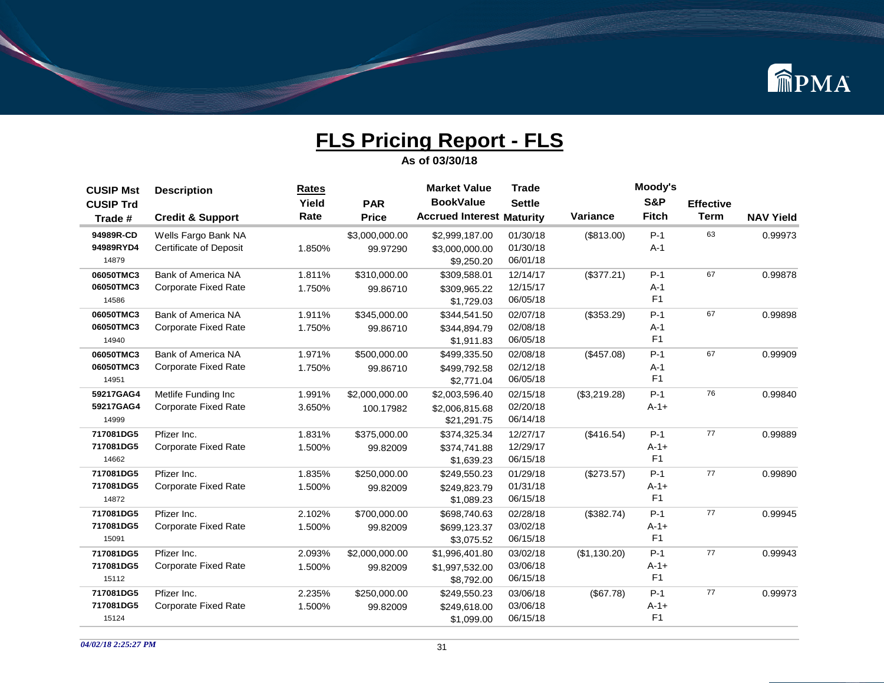

| <b>CUSIP Mst</b> | <b>Description</b>            | Rates  |                | <b>Market Value</b>              | <b>Trade</b>  |                 | Moody's        |                  |                  |
|------------------|-------------------------------|--------|----------------|----------------------------------|---------------|-----------------|----------------|------------------|------------------|
| <b>CUSIP Trd</b> |                               | Yield  | <b>PAR</b>     | <b>BookValue</b>                 | <b>Settle</b> |                 | S&P            | <b>Effective</b> |                  |
| Trade #          | <b>Credit &amp; Support</b>   | Rate   | <b>Price</b>   | <b>Accrued Interest Maturity</b> |               | <b>Variance</b> | <b>Fitch</b>   | <b>Term</b>      | <b>NAV Yield</b> |
| 94989R-CD        | Wells Fargo Bank NA           |        | \$3,000,000.00 | \$2,999,187.00                   | 01/30/18      | (\$813.00)      | $P-1$          | 63               | 0.99973          |
| 94989RYD4        | <b>Certificate of Deposit</b> | 1.850% | 99.97290       | \$3,000,000.00                   | 01/30/18      |                 | $A-1$          |                  |                  |
| 14879            |                               |        |                | \$9,250.20                       | 06/01/18      |                 |                |                  |                  |
| 06050TMC3        | <b>Bank of America NA</b>     | 1.811% | \$310,000.00   | \$309,588.01                     | 12/14/17      | (\$377.21)      | $P-1$          | 67               | 0.99878          |
| 06050TMC3        | <b>Corporate Fixed Rate</b>   | 1.750% | 99.86710       | \$309,965.22                     | 12/15/17      |                 | $A-1$          |                  |                  |
| 14586            |                               |        |                | \$1,729.03                       | 06/05/18      |                 | F <sub>1</sub> |                  |                  |
| 06050TMC3        | <b>Bank of America NA</b>     | 1.911% | \$345,000.00   | \$344,541.50                     | 02/07/18      | (\$353.29)      | $P-1$          | 67               | 0.99898          |
| 06050TMC3        | <b>Corporate Fixed Rate</b>   | 1.750% | 99.86710       | \$344,894.79                     | 02/08/18      |                 | $A-1$          |                  |                  |
| 14940            |                               |        |                | \$1,911.83                       | 06/05/18      |                 | F <sub>1</sub> |                  |                  |
| 06050TMC3        | <b>Bank of America NA</b>     | 1.971% | \$500,000.00   | \$499,335.50                     | 02/08/18      | (\$457.08)      | $P-1$          | 67               | 0.99909          |
| 06050TMC3        | <b>Corporate Fixed Rate</b>   | 1.750% | 99.86710       | \$499,792.58                     | 02/12/18      |                 | $A-1$          |                  |                  |
| 14951            |                               |        |                | \$2,771.04                       | 06/05/18      |                 | F <sub>1</sub> |                  |                  |
| 59217GAG4        | Metlife Funding Inc           | 1.991% | \$2,000,000.00 | \$2,003,596.40                   | 02/15/18      | (\$3,219.28)    | $P-1$          | 76               | 0.99840          |
| 59217GAG4        | <b>Corporate Fixed Rate</b>   | 3.650% | 100.17982      | \$2,006,815.68                   | 02/20/18      |                 | $A - 1 +$      |                  |                  |
| 14999            |                               |        |                | \$21,291.75                      | 06/14/18      |                 |                |                  |                  |
| 717081DG5        | Pfizer Inc.                   | 1.831% | \$375,000.00   | \$374,325.34                     | 12/27/17      | (\$416.54)      | $P-1$          | 77               | 0.99889          |
| 717081DG5        | <b>Corporate Fixed Rate</b>   | 1.500% | 99.82009       | \$374,741.88                     | 12/29/17      |                 | $A-1+$         |                  |                  |
| 14662            |                               |        |                | \$1,639.23                       | 06/15/18      |                 | F <sub>1</sub> |                  |                  |
| 717081DG5        | Pfizer Inc.                   | 1.835% | \$250,000.00   | \$249,550.23                     | 01/29/18      | (\$273.57)      | $P-1$          | 77               | 0.99890          |
| 717081DG5        | <b>Corporate Fixed Rate</b>   | 1.500% | 99.82009       | \$249,823.79                     | 01/31/18      |                 | $A-1+$         |                  |                  |
| 14872            |                               |        |                | \$1,089.23                       | 06/15/18      |                 | F <sub>1</sub> |                  |                  |
| 717081DG5        | Pfizer Inc.                   | 2.102% | \$700,000.00   | \$698,740.63                     | 02/28/18      | (\$382.74)      | $P-1$          | 77               | 0.99945          |
| 717081DG5        | <b>Corporate Fixed Rate</b>   | 1.500% | 99.82009       | \$699,123.37                     | 03/02/18      |                 | $A - 1 +$      |                  |                  |
| 15091            |                               |        |                | \$3,075.52                       | 06/15/18      |                 | F <sub>1</sub> |                  |                  |
| 717081DG5        | Pfizer Inc.                   | 2.093% | \$2,000,000.00 | \$1,996,401.80                   | 03/02/18      | (\$1,130.20)    | $P-1$          | 77               | 0.99943          |
| 717081DG5        | <b>Corporate Fixed Rate</b>   | 1.500% | 99.82009       | \$1,997,532.00                   | 03/06/18      |                 | $A-1+$         |                  |                  |
| 15112            |                               |        |                | \$8,792.00                       | 06/15/18      |                 | F <sub>1</sub> |                  |                  |
| 717081DG5        | Pfizer Inc.                   | 2.235% | \$250,000.00   | \$249,550.23                     | 03/06/18      | (\$67.78)       | $P-1$          | 77               | 0.99973          |
| 717081DG5        | <b>Corporate Fixed Rate</b>   | 1.500% | 99.82009       | \$249,618.00                     | 03/06/18      |                 | $A-1+$         |                  |                  |
| 15124            |                               |        |                | \$1,099.00                       | 06/15/18      |                 | F <sub>1</sub> |                  |                  |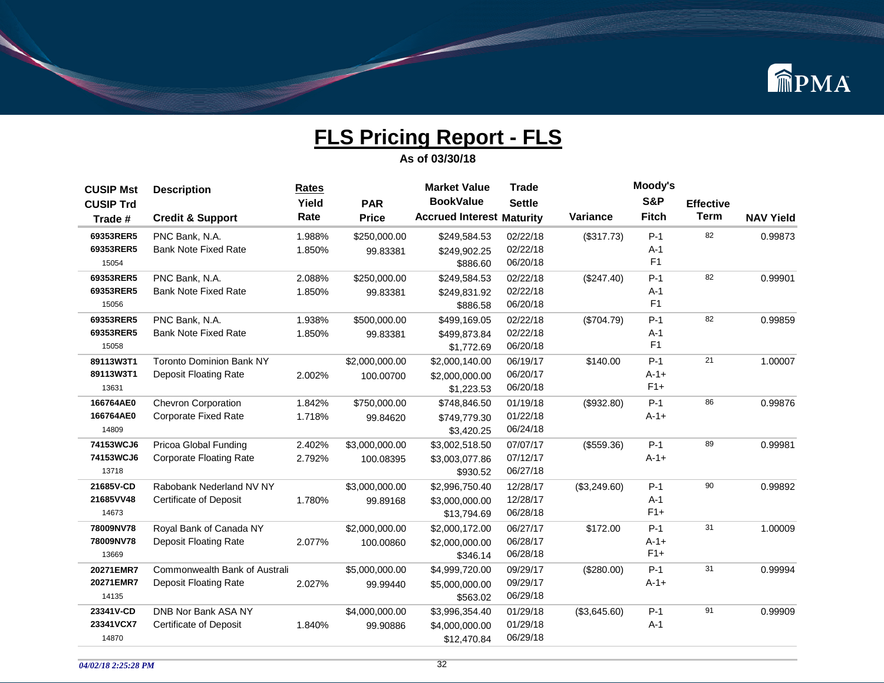

| <b>CUSIP Mst</b> | <b>Description</b>                   | <b>Rates</b> |                | <b>Market Value</b>              | <b>Trade</b>  |              | Moody's        |                  |                  |
|------------------|--------------------------------------|--------------|----------------|----------------------------------|---------------|--------------|----------------|------------------|------------------|
| <b>CUSIP Trd</b> |                                      | Yield        | <b>PAR</b>     | <b>BookValue</b>                 | <b>Settle</b> |              | <b>S&amp;P</b> | <b>Effective</b> |                  |
| Trade #          | <b>Credit &amp; Support</b>          | Rate         | <b>Price</b>   | <b>Accrued Interest Maturity</b> |               | Variance     | <b>Fitch</b>   | <b>Term</b>      | <b>NAV Yield</b> |
| 69353RER5        | PNC Bank, N.A.                       | 1.988%       | \$250,000.00   | \$249,584.53                     | 02/22/18      | (\$317.73)   | $P-1$          | 82               | 0.99873          |
| 69353RER5        | <b>Bank Note Fixed Rate</b>          | 1.850%       | 99.83381       | \$249,902.25                     | 02/22/18      |              | $A-1$          |                  |                  |
| 15054            |                                      |              |                | \$886.60                         | 06/20/18      |              | F <sub>1</sub> |                  |                  |
| 69353RER5        | PNC Bank, N.A.                       | 2.088%       | \$250,000.00   | \$249,584.53                     | 02/22/18      | (\$247.40)   | $P-1$          | 82               | 0.99901          |
| 69353RER5        | <b>Bank Note Fixed Rate</b>          | 1.850%       | 99.83381       | \$249,831.92                     | 02/22/18      |              | $A-1$          |                  |                  |
| 15056            |                                      |              |                | \$886.58                         | 06/20/18      |              | F <sub>1</sub> |                  |                  |
| 69353RER5        | PNC Bank, N.A.                       | 1.938%       | \$500,000.00   | \$499,169.05                     | 02/22/18      | (\$704.79)   | $P-1$          | 82               | 0.99859          |
| 69353RER5        | <b>Bank Note Fixed Rate</b>          | 1.850%       | 99.83381       | \$499,873.84                     | 02/22/18      |              | $A-1$          |                  |                  |
| 15058            |                                      |              |                | \$1,772.69                       | 06/20/18      |              | F <sub>1</sub> |                  |                  |
| 89113W3T1        | <b>Toronto Dominion Bank NY</b>      |              | \$2,000,000.00 | \$2,000,140.00                   | 06/19/17      | \$140.00     | $P-1$          | 21               | 1.00007          |
| 89113W3T1        | <b>Deposit Floating Rate</b>         | 2.002%       | 100.00700      | \$2,000,000.00                   | 06/20/17      |              | $A-1+$         |                  |                  |
| 13631            |                                      |              |                | \$1,223.53                       | 06/20/18      |              | $F1+$          |                  |                  |
| 166764AE0        | Chevron Corporation                  | 1.842%       | \$750,000.00   | \$748.846.50                     | 01/19/18      | (\$932.80)   | $P-1$          | 86               | 0.99876          |
| 166764AE0        | <b>Corporate Fixed Rate</b>          | 1.718%       | 99.84620       | \$749,779.30                     | 01/22/18      |              | $A-1+$         |                  |                  |
| 14809            |                                      |              |                | \$3,420.25                       | 06/24/18      |              |                |                  |                  |
| 74153WCJ6        | Pricoa Global Funding                | 2.402%       | \$3,000,000.00 | \$3,002,518.50                   | 07/07/17      | (\$559.36)   | $P-1$          | 89               | 0.99981          |
| 74153WCJ6        | <b>Corporate Floating Rate</b>       | 2.792%       | 100.08395      | \$3,003,077.86                   | 07/12/17      |              | $A - 1 +$      |                  |                  |
| 13718            |                                      |              |                | \$930.52                         | 06/27/18      |              |                |                  |                  |
| 21685V-CD        | Rabobank Nederland NV NY             |              | \$3,000,000.00 | \$2,996,750.40                   | 12/28/17      | (\$3,249.60) | $P-1$          | 90               | 0.99892          |
| 21685VV48        | Certificate of Deposit               | 1.780%       | 99.89168       | \$3,000,000.00                   | 12/28/17      |              | $A-1$          |                  |                  |
| 14673            |                                      |              |                | \$13,794.69                      | 06/28/18      |              | $F1+$          |                  |                  |
| 78009NV78        | Royal Bank of Canada NY              |              | \$2,000,000.00 | \$2,000,172.00                   | 06/27/17      | \$172.00     | $P-1$          | 31               | 1.00009          |
| 78009NV78        | <b>Deposit Floating Rate</b>         | 2.077%       | 100.00860      | \$2,000,000.00                   | 06/28/17      |              | $A - 1 +$      |                  |                  |
| 13669            |                                      |              |                | \$346.14                         | 06/28/18      |              | $F1+$          |                  |                  |
| 20271EMR7        | <b>Commonwealth Bank of Australi</b> |              | \$5,000,000.00 | \$4,999,720.00                   | 09/29/17      | (\$280.00)   | $P-1$          | 31               | 0.99994          |
| 20271EMR7        | <b>Deposit Floating Rate</b>         | 2.027%       | 99.99440       | \$5,000,000.00                   | 09/29/17      |              | $A - 1 +$      |                  |                  |
| 14135            |                                      |              |                | \$563.02                         | 06/29/18      |              |                |                  |                  |
| 23341V-CD        | DNB Nor Bank ASA NY                  |              | \$4,000,000.00 | \$3,996,354.40                   | 01/29/18      | (\$3,645.60) | $P-1$          | 91               | 0.99909          |
| 23341VCX7        | <b>Certificate of Deposit</b>        | 1.840%       | 99.90886       | \$4,000,000.00                   | 01/29/18      |              | $A-1$          |                  |                  |
| 14870            |                                      |              |                | \$12,470.84                      | 06/29/18      |              |                |                  |                  |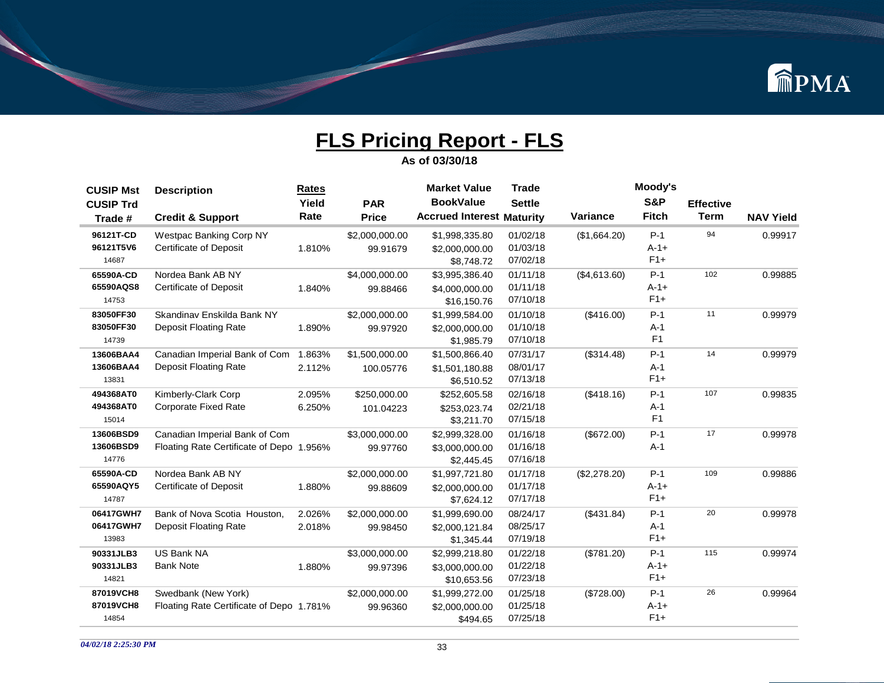

| <b>CUSIP Mst</b> | <b>Description</b>                       | Rates  |                | <b>Market Value</b>              | <b>Trade</b>  |                 | Moody's        |                  |                  |
|------------------|------------------------------------------|--------|----------------|----------------------------------|---------------|-----------------|----------------|------------------|------------------|
| <b>CUSIP Trd</b> |                                          | Yield  | <b>PAR</b>     | <b>BookValue</b>                 | <b>Settle</b> |                 | <b>S&amp;P</b> | <b>Effective</b> |                  |
| Trade #          | <b>Credit &amp; Support</b>              | Rate   | <b>Price</b>   | <b>Accrued Interest Maturity</b> |               | <b>Variance</b> | <b>Fitch</b>   | <b>Term</b>      | <b>NAV Yield</b> |
| 96121T-CD        | Westpac Banking Corp NY                  |        | \$2,000,000.00 | \$1,998,335.80                   | 01/02/18      | (\$1,664.20)    | $P-1$          | 94               | 0.99917          |
| 96121T5V6        | <b>Certificate of Deposit</b>            | 1.810% | 99.91679       | \$2,000,000.00                   | 01/03/18      |                 | $A - 1 +$      |                  |                  |
| 14687            |                                          |        |                | \$8,748.72                       | 07/02/18      |                 | $F1+$          |                  |                  |
| 65590A-CD        | Nordea Bank AB NY                        |        | \$4,000,000.00 | \$3,995,386.40                   | 01/11/18      | (\$4,613.60)    | $P-1$          | 102              | 0.99885          |
| 65590AQS8        | <b>Certificate of Deposit</b>            | 1.840% | 99.88466       | \$4,000,000.00                   | 01/11/18      |                 | $A - 1 +$      |                  |                  |
| 14753            |                                          |        |                | \$16,150.76                      | 07/10/18      |                 | $F1+$          |                  |                  |
| 83050FF30        | Skandinav Enskilda Bank NY               |        | \$2,000,000.00 | \$1,999,584.00                   | 01/10/18      | (\$416.00)      | $P-1$          | 11               | 0.99979          |
| 83050FF30        | Deposit Floating Rate                    | 1.890% | 99.97920       | \$2,000,000.00                   | 01/10/18      |                 | $A-1$          |                  |                  |
| 14739            |                                          |        |                | \$1,985.79                       | 07/10/18      |                 | F <sub>1</sub> |                  |                  |
| 13606BAA4        | Canadian Imperial Bank of Com            | 1.863% | \$1,500,000.00 | \$1,500,866.40                   | 07/31/17      | (\$314.48)      | $P-1$          | 14               | 0.99979          |
| 13606BAA4        | Deposit Floating Rate                    | 2.112% | 100.05776      | \$1,501,180.88                   | 08/01/17      |                 | $A-1$          |                  |                  |
| 13831            |                                          |        |                | \$6,510.52                       | 07/13/18      |                 | $F1+$          |                  |                  |
| 494368AT0        | Kimberly-Clark Corp                      | 2.095% | \$250,000.00   | \$252,605.58                     | 02/16/18      | (\$418.16)      | $P-1$          | 107              | 0.99835          |
| 494368AT0        | <b>Corporate Fixed Rate</b>              | 6.250% | 101.04223      | \$253,023.74                     | 02/21/18      |                 | $A-1$          |                  |                  |
| 15014            |                                          |        |                | \$3,211.70                       | 07/15/18      |                 | F <sub>1</sub> |                  |                  |
| 13606BSD9        | Canadian Imperial Bank of Com            |        | \$3,000,000.00 | \$2,999,328.00                   | 01/16/18      | (\$672.00)      | $P-1$          | 17               | 0.99978          |
| 13606BSD9        | Floating Rate Certificate of Depo 1.956% |        | 99.97760       | \$3,000,000.00                   | 01/16/18      |                 | $A-1$          |                  |                  |
| 14776            |                                          |        |                | \$2,445.45                       | 07/16/18      |                 |                |                  |                  |
| 65590A-CD        | Nordea Bank AB NY                        |        | \$2,000,000.00 | \$1,997,721.80                   | 01/17/18      | (\$2,278.20)    | $P-1$          | 109              | 0.99886          |
| 65590AQY5        | Certificate of Deposit                   | 1.880% | 99.88609       | \$2,000,000.00                   | 01/17/18      |                 | $A - 1 +$      |                  |                  |
| 14787            |                                          |        |                | \$7,624.12                       | 07/17/18      |                 | $F1+$          |                  |                  |
| 06417GWH7        | Bank of Nova Scotia Houston,             | 2.026% | \$2,000,000.00 | \$1,999,690.00                   | 08/24/17      | (\$431.84)      | $P-1$          | 20               | 0.99978          |
| 06417GWH7        | Deposit Floating Rate                    | 2.018% | 99.98450       | \$2,000,121.84                   | 08/25/17      |                 | $A-1$          |                  |                  |
| 13983            |                                          |        |                | \$1,345.44                       | 07/19/18      |                 | $F1+$          |                  |                  |
| 90331JLB3        | <b>US Bank NA</b>                        |        | \$3,000,000.00 | \$2,999,218.80                   | 01/22/18      | (\$781.20)      | $P-1$          | 115              | 0.99974          |
| 90331JLB3        | <b>Bank Note</b>                         | 1.880% | 99.97396       | \$3,000,000.00                   | 01/22/18      |                 | $A-1+$         |                  |                  |
| 14821            |                                          |        |                | \$10,653.56                      | 07/23/18      |                 | $F1+$          |                  |                  |
| 87019VCH8        | Swedbank (New York)                      |        | \$2,000,000.00 | \$1,999,272.00                   | 01/25/18      | (\$728.00)      | $P-1$          | 26               | 0.99964          |
| 87019VCH8        | Floating Rate Certificate of Depo 1.781% |        | 99.96360       | \$2,000,000.00                   | 01/25/18      |                 | $A - 1 +$      |                  |                  |
| 14854            |                                          |        |                | \$494.65                         | 07/25/18      |                 | $F1+$          |                  |                  |
|                  |                                          |        |                |                                  |               |                 |                |                  |                  |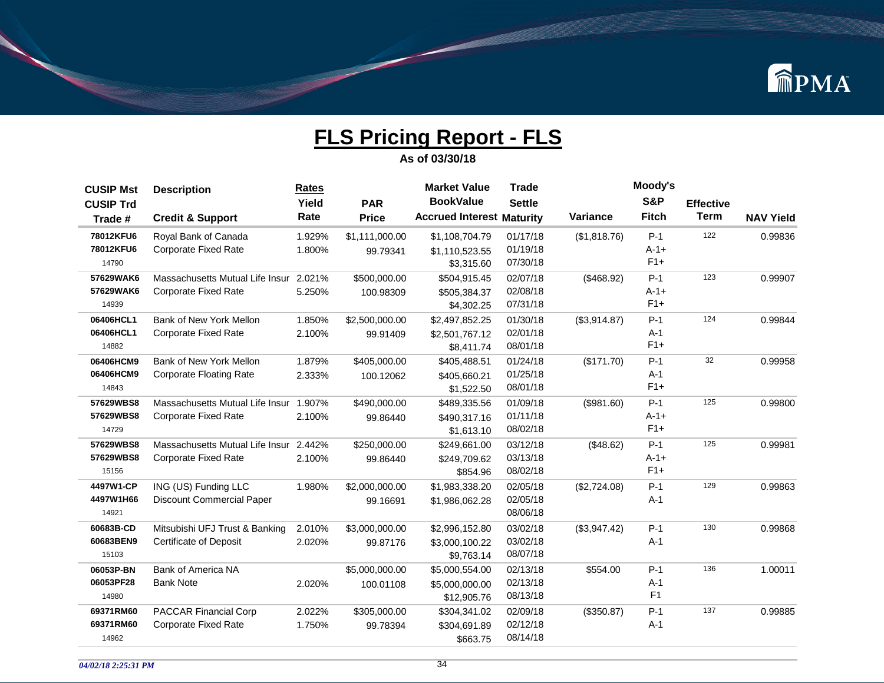

| <b>CUSIP Mst</b> | <b>Description</b>              | <b>Rates</b> |                | <b>Market Value</b>              | <b>Trade</b>  |              | Moody's        |                  |                  |
|------------------|---------------------------------|--------------|----------------|----------------------------------|---------------|--------------|----------------|------------------|------------------|
| <b>CUSIP Trd</b> |                                 | Yield        | <b>PAR</b>     | <b>BookValue</b>                 | <b>Settle</b> |              | <b>S&amp;P</b> | <b>Effective</b> |                  |
| Trade #          | <b>Credit &amp; Support</b>     | Rate         | <b>Price</b>   | <b>Accrued Interest Maturity</b> |               | Variance     | <b>Fitch</b>   | <b>Term</b>      | <b>NAV Yield</b> |
| 78012KFU6        | Royal Bank of Canada            | 1.929%       | \$1,111,000.00 | \$1,108,704.79                   | 01/17/18      | (\$1,818.76) | $P-1$          | 122              | 0.99836          |
| 78012KFU6        | <b>Corporate Fixed Rate</b>     | 1.800%       | 99.79341       | \$1,110,523.55                   | 01/19/18      |              | $A - 1 +$      |                  |                  |
| 14790            |                                 |              |                | \$3,315.60                       | 07/30/18      |              | $F1+$          |                  |                  |
| 57629WAK6        | Massachusetts Mutual Life Insur | 2.021%       | \$500,000.00   | \$504,915.45                     | 02/07/18      | (\$468.92)   | $P-1$          | 123              | 0.99907          |
| 57629WAK6        | <b>Corporate Fixed Rate</b>     | 5.250%       | 100.98309      | \$505,384.37                     | 02/08/18      |              | $A-1+$         |                  |                  |
| 14939            |                                 |              |                | \$4,302.25                       | 07/31/18      |              | $F1+$          |                  |                  |
| 06406HCL1        | Bank of New York Mellon         | 1.850%       | \$2,500,000.00 | \$2,497,852.25                   | 01/30/18      | (\$3,914.87) | $P-1$          | 124              | 0.99844          |
| 06406HCL1        | <b>Corporate Fixed Rate</b>     | 2.100%       | 99.91409       | \$2,501,767.12                   | 02/01/18      |              | $A-1$          |                  |                  |
| 14882            |                                 |              |                | \$8,411.74                       | 08/01/18      |              | $F1+$          |                  |                  |
| 06406HCM9        | Bank of New York Mellon         | 1.879%       | \$405,000.00   | \$405,488.51                     | 01/24/18      | (\$171.70)   | $P-1$          | 32               | 0.99958          |
| 06406HCM9        | <b>Corporate Floating Rate</b>  | 2.333%       | 100.12062      | \$405,660.21                     | 01/25/18      |              | $A-1$          |                  |                  |
| 14843            |                                 |              |                | \$1,522.50                       | 08/01/18      |              | $F1+$          |                  |                  |
| 57629WBS8        | Massachusetts Mutual Life Insur | 1.907%       | \$490,000.00   | \$489,335.56                     | 01/09/18      | (\$981.60)   | $P-1$          | 125              | 0.99800          |
| 57629WBS8        | <b>Corporate Fixed Rate</b>     | 2.100%       | 99.86440       | \$490,317.16                     | 01/11/18      |              | $A - 1 +$      |                  |                  |
| 14729            |                                 |              |                | \$1,613.10                       | 08/02/18      |              | $F1+$          |                  |                  |
| 57629WBS8        | Massachusetts Mutual Life Insur | 2.442%       | \$250,000.00   | \$249,661.00                     | 03/12/18      | (\$48.62)    | $P-1$          | 125              | 0.99981          |
| 57629WBS8        | <b>Corporate Fixed Rate</b>     | 2.100%       | 99.86440       | \$249.709.62                     | 03/13/18      |              | $A-1+$         |                  |                  |
| 15156            |                                 |              |                | \$854.96                         | 08/02/18      |              | $F1+$          |                  |                  |
| 4497W1-CP        | ING (US) Funding LLC            | 1.980%       | \$2,000,000.00 | \$1,983,338.20                   | 02/05/18      | (\$2,724.08) | $P-1$          | 129              | 0.99863          |
| 4497W1H66        | Discount Commercial Paper       |              | 99.16691       | \$1,986,062.28                   | 02/05/18      |              | $A-1$          |                  |                  |
| 14921            |                                 |              |                |                                  | 08/06/18      |              |                |                  |                  |
| 60683B-CD        | Mitsubishi UFJ Trust & Banking  | 2.010%       | \$3,000,000.00 | \$2,996,152.80                   | 03/02/18      | (\$3,947.42) | $P-1$          | 130              | 0.99868          |
| 60683BEN9        | <b>Certificate of Deposit</b>   | 2.020%       | 99.87176       | \$3,000,100.22                   | 03/02/18      |              | $A-1$          |                  |                  |
| 15103            |                                 |              |                | \$9,763.14                       | 08/07/18      |              |                |                  |                  |
| 06053P-BN        | Bank of America NA              |              | \$5,000,000.00 | \$5,000,554.00                   | 02/13/18      | \$554.00     | $P-1$          | 136              | 1.00011          |
| 06053PF28        | <b>Bank Note</b>                | 2.020%       | 100.01108      | \$5,000,000.00                   | 02/13/18      |              | $A-1$          |                  |                  |
| 14980            |                                 |              |                | \$12,905.76                      | 08/13/18      |              | F <sub>1</sub> |                  |                  |
| 69371RM60        | <b>PACCAR Financial Corp</b>    | 2.022%       | \$305,000.00   | \$304,341.02                     | 02/09/18      | (\$350.87)   | $P-1$          | 137              | 0.99885          |
| 69371RM60        | <b>Corporate Fixed Rate</b>     | 1.750%       | 99.78394       | \$304,691.89                     | 02/12/18      |              | $A-1$          |                  |                  |
| 14962            |                                 |              |                | \$663.75                         | 08/14/18      |              |                |                  |                  |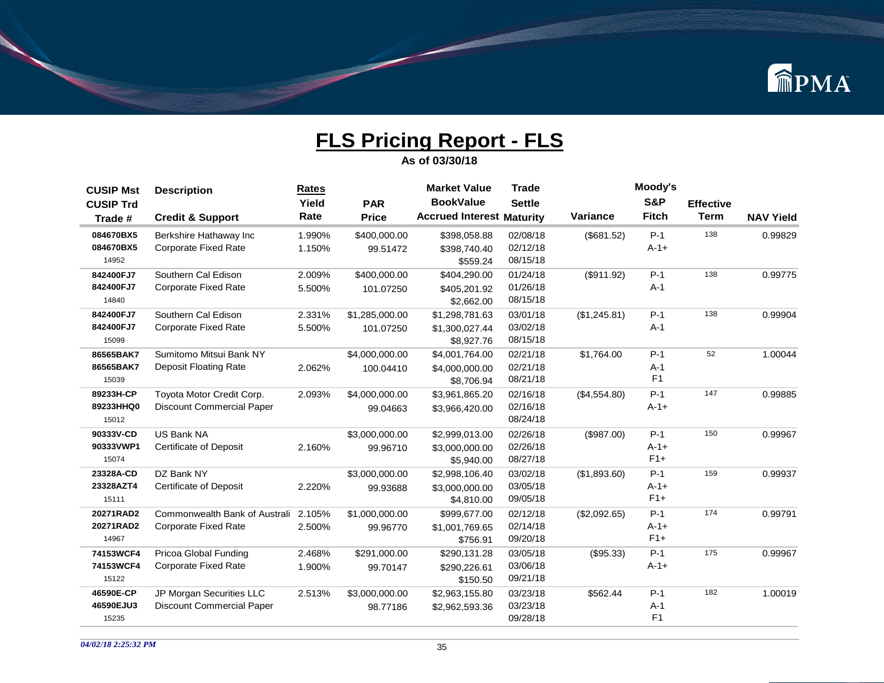

| <b>CUSIP Mst</b> | <b>Description</b>               | <b>Rates</b> |                | <b>Market Value</b>              | <b>Trade</b>  |              | Moody's        |                  |                  |
|------------------|----------------------------------|--------------|----------------|----------------------------------|---------------|--------------|----------------|------------------|------------------|
| <b>CUSIP Trd</b> |                                  | Yield        | <b>PAR</b>     | <b>BookValue</b>                 | <b>Settle</b> |              | S&P            | <b>Effective</b> |                  |
| Trade #          | <b>Credit &amp; Support</b>      | Rate         | <b>Price</b>   | <b>Accrued Interest Maturity</b> |               | Variance     | <b>Fitch</b>   | <b>Term</b>      | <b>NAV Yield</b> |
| 084670BX5        | Berkshire Hathaway Inc           | 1.990%       | \$400,000.00   | \$398,058.88                     | 02/08/18      | (\$681.52)   | $P-1$          | 138              | 0.99829          |
| 084670BX5        | <b>Corporate Fixed Rate</b>      | 1.150%       | 99.51472       | \$398.740.40                     | 02/12/18      |              | $A - 1 +$      |                  |                  |
| 14952            |                                  |              |                | \$559.24                         | 08/15/18      |              |                |                  |                  |
| 842400FJ7        | Southern Cal Edison              | 2.009%       | \$400,000.00   | \$404,290.00                     | 01/24/18      | (\$911.92)   | $P-1$          | 138              | 0.99775          |
| 842400FJ7        | <b>Corporate Fixed Rate</b>      | 5.500%       | 101.07250      | \$405,201.92                     | 01/26/18      |              | $A-1$          |                  |                  |
| 14840            |                                  |              |                | \$2,662.00                       | 08/15/18      |              |                |                  |                  |
| 842400FJ7        | Southern Cal Edison              | 2.331%       | \$1,285,000.00 | \$1,298,781.63                   | 03/01/18      | (\$1,245.81) | $P-1$          | 138              | 0.99904          |
| 842400FJ7        | <b>Corporate Fixed Rate</b>      | 5.500%       | 101.07250      | \$1,300,027.44                   | 03/02/18      |              | $A-1$          |                  |                  |
| 15099            |                                  |              |                | \$8,927.76                       | 08/15/18      |              |                |                  |                  |
| 86565BAK7        | Sumitomo Mitsui Bank NY          |              | \$4,000,000.00 | \$4,001,764.00                   | 02/21/18      | \$1.764.00   | $P-1$          | 52               | 1.00044          |
| 86565BAK7        | <b>Deposit Floating Rate</b>     | 2.062%       | 100.04410      | \$4,000,000.00                   | 02/21/18      |              | $A-1$          |                  |                  |
| 15039            |                                  |              |                | \$8,706.94                       | 08/21/18      |              | F <sub>1</sub> |                  |                  |
| 89233H-CP        | Toyota Motor Credit Corp.        | 2.093%       | \$4,000,000.00 | \$3,961,865.20                   | 02/16/18      | (\$4,554.80) | $P-1$          | 147              | 0.99885          |
| 89233HHQ0        | Discount Commercial Paper        |              | 99.04663       | \$3,966,420.00                   | 02/16/18      |              | $A-1+$         |                  |                  |
| 15012            |                                  |              |                |                                  | 08/24/18      |              |                |                  |                  |
| 90333V-CD        | <b>US Bank NA</b>                |              | \$3,000,000.00 | \$2,999,013.00                   | 02/26/18      | (\$987.00)   | $P-1$          | 150              | 0.99967          |
| 90333VWP1        | <b>Certificate of Deposit</b>    | 2.160%       | 99.96710       | \$3,000,000.00                   | 02/26/18      |              | $A - 1 +$      |                  |                  |
| 15074            |                                  |              |                | \$5,940.00                       | 08/27/18      |              | $F1+$          |                  |                  |
| 23328A-CD        | DZ Bank NY                       |              | \$3,000,000.00 | \$2,998,106.40                   | 03/02/18      | (\$1,893.60) | $P-1$          | 159              | 0.99937          |
| 23328AZT4        | <b>Certificate of Deposit</b>    | 2.220%       | 99.93688       | \$3,000,000.00                   | 03/05/18      |              | $A-1+$         |                  |                  |
| 15111            |                                  |              |                | \$4,810.00                       | 09/05/18      |              | $F1+$          |                  |                  |
| 20271RAD2        | Commonwealth Bank of Australi    | 2.105%       | \$1,000,000.00 | \$999,677.00                     | 02/12/18      | (\$2,092.65) | $P-1$          | 174              | 0.99791          |
| 20271RAD2        | <b>Corporate Fixed Rate</b>      | 2.500%       | 99.96770       | \$1,001,769.65                   | 02/14/18      |              | $A-1+$         |                  |                  |
| 14967            |                                  |              |                | \$756.91                         | 09/20/18      |              | $F1+$          |                  |                  |
| 74153WCF4        | Pricoa Global Funding            | 2.468%       | \$291,000.00   | \$290,131.28                     | 03/05/18      | (\$95.33)    | $P-1$          | 175              | 0.99967          |
| 74153WCF4        | <b>Corporate Fixed Rate</b>      | 1.900%       | 99.70147       | \$290.226.61                     | 03/06/18      |              | $A - 1 +$      |                  |                  |
| 15122            |                                  |              |                | \$150.50                         | 09/21/18      |              |                |                  |                  |
| 46590E-CP        | JP Morgan Securities LLC         | 2.513%       | \$3,000,000.00 | \$2,963,155.80                   | 03/23/18      | \$562.44     | $P-1$          | 182              | 1.00019          |
| 46590EJU3        | <b>Discount Commercial Paper</b> |              | 98.77186       | \$2,962,593.36                   | 03/23/18      |              | $A-1$          |                  |                  |
| 15235            |                                  |              |                |                                  | 09/28/18      |              | F1             |                  |                  |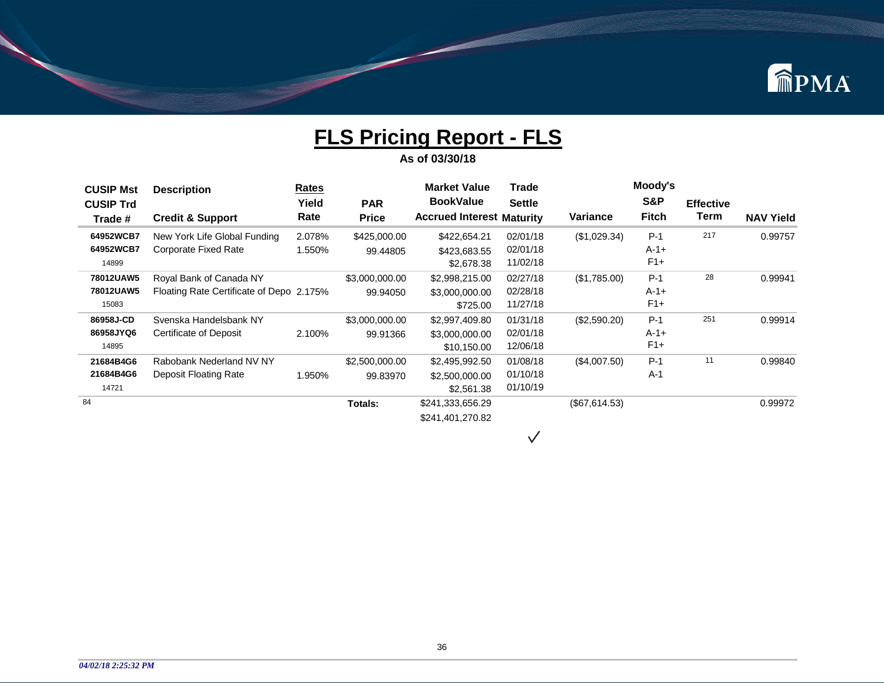

**As of 03/30/18**

| <b>CUSIP Mst</b> | <b>Description</b>                       | <b>Rates</b> |                | <b>Market Value</b>              | Trade         |               | Moody's        |                  |                  |
|------------------|------------------------------------------|--------------|----------------|----------------------------------|---------------|---------------|----------------|------------------|------------------|
| <b>CUSIP Trd</b> |                                          | Yield        | <b>PAR</b>     | <b>BookValue</b>                 | <b>Settle</b> |               | <b>S&amp;P</b> | <b>Effective</b> |                  |
| Trade #          | <b>Credit &amp; Support</b>              | Rate         | <b>Price</b>   | <b>Accrued Interest Maturity</b> |               | Variance      | <b>Fitch</b>   | Term             | <b>NAV Yield</b> |
| 64952WCB7        | New York Life Global Funding             | 2.078%       | \$425,000.00   | \$422,654.21                     | 02/01/18      | (\$1,029.34)  | $P-1$          | 217              | 0.99757          |
| 64952WCB7        | Corporate Fixed Rate                     | 1.550%       | 99.44805       | \$423,683.55                     | 02/01/18      |               | $A - 1 +$      |                  |                  |
| 14899            |                                          |              |                | \$2,678.38                       | 11/02/18      |               | $F1+$          |                  |                  |
| 78012UAW5        | Royal Bank of Canada NY                  |              | \$3,000,000.00 | \$2,998,215.00                   | 02/27/18      | (\$1,785.00)  | $P-1$          | 28               | 0.99941          |
| 78012UAW5        | Floating Rate Certificate of Depo 2.175% |              | 99.94050       | \$3,000,000.00                   | 02/28/18      |               | $A-1+$         |                  |                  |
| 15083            |                                          |              |                | \$725.00                         | 11/27/18      |               | $F1+$          |                  |                  |
| 86958J-CD        | Svenska Handelsbank NY                   |              | \$3,000,000.00 | \$2,997,409.80                   | 01/31/18      | (\$2,590.20)  | $P-1$          | 251              | 0.99914          |
| 86958JYQ6        | Certificate of Deposit                   | 2.100%       | 99.91366       | \$3,000,000.00                   | 02/01/18      |               | $A-1+$         |                  |                  |
| 14895            |                                          |              |                | \$10,150.00                      | 12/06/18      |               | $F1+$          |                  |                  |
| 21684B4G6        | Rabobank Nederland NV NY                 |              | \$2,500,000.00 | \$2,495,992.50                   | 01/08/18      | (\$4,007.50)  | $P-1$          | 11               | 0.99840          |
| 21684B4G6        | Deposit Floating Rate                    | 1.950%       | 99.83970       | \$2,500,000.00                   | 01/10/18      |               | $A-1$          |                  |                  |
| 14721            |                                          |              |                | \$2,561.38                       | 01/10/19      |               |                |                  |                  |
| 84               |                                          |              | Totals:        | \$241,333,656.29                 |               | (\$67,614.53) |                |                  | 0.99972          |
|                  |                                          |              |                | \$241,401,270.82                 |               |               |                |                  |                  |

 $\checkmark$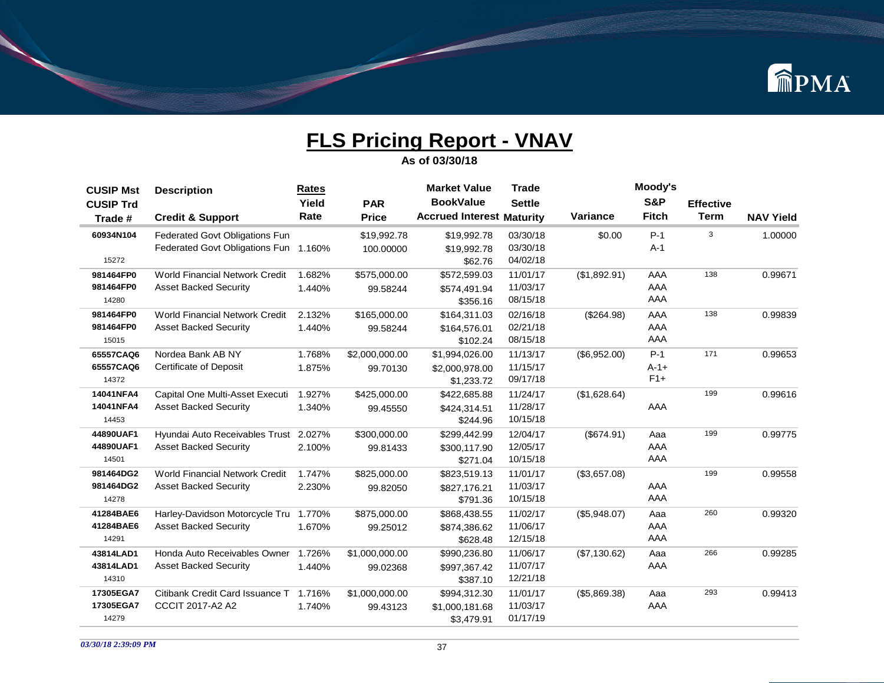

| <b>CUSIP Mst</b> | <b>Description</b>                    | <b>Rates</b> |                | <b>Market Value</b>              | <b>Trade</b>  |              | Moody's        |                  |                  |
|------------------|---------------------------------------|--------------|----------------|----------------------------------|---------------|--------------|----------------|------------------|------------------|
| <b>CUSIP Trd</b> |                                       | Yield        | <b>PAR</b>     | <b>BookValue</b>                 | <b>Settle</b> |              | <b>S&amp;P</b> | <b>Effective</b> |                  |
| Trade #          | <b>Credit &amp; Support</b>           | Rate         | <b>Price</b>   | <b>Accrued Interest Maturity</b> |               | Variance     | <b>Fitch</b>   | <b>Term</b>      | <b>NAV Yield</b> |
| 60934N104        | Federated Govt Obligations Fun        |              | \$19,992.78    | \$19,992.78                      | 03/30/18      | \$0.00       | $P-1$          | 3                | 1.00000          |
|                  | Federated Govt Obligations Fun        | 1.160%       | 100.00000      | \$19,992.78                      | 03/30/18      |              | $A-1$          |                  |                  |
| 15272            |                                       |              |                | \$62.76                          | 04/02/18      |              |                |                  |                  |
| 981464FP0        | <b>World Financial Network Credit</b> | 1.682%       | \$575,000.00   | \$572,599.03                     | 11/01/17      | (\$1,892.91) | AAA            | 138              | 0.99671          |
| 981464FP0        | <b>Asset Backed Security</b>          | 1.440%       | 99.58244       | \$574,491.94                     | 11/03/17      |              | AAA            |                  |                  |
| 14280            |                                       |              |                | \$356.16                         | 08/15/18      |              | AAA            |                  |                  |
| 981464FP0        | <b>World Financial Network Credit</b> | 2.132%       | \$165,000.00   | \$164,311.03                     | 02/16/18      | (\$264.98)   | AAA            | 138              | 0.99839          |
| 981464FP0        | <b>Asset Backed Security</b>          | 1.440%       | 99.58244       | \$164,576.01                     | 02/21/18      |              | AAA            |                  |                  |
| 15015            |                                       |              |                | \$102.24                         | 08/15/18      |              | AAA            |                  |                  |
| 65557CAQ6        | Nordea Bank AB NY                     | 1.768%       | \$2,000,000.00 | \$1,994,026.00                   | 11/13/17      | (\$6,952.00) | $P-1$          | 171              | 0.99653          |
| 65557CAQ6        | Certificate of Deposit                | 1.875%       | 99.70130       | \$2,000,978.00                   | 11/15/17      |              | $A - 1 +$      |                  |                  |
| 14372            |                                       |              |                | \$1,233.72                       | 09/17/18      |              | $F1+$          |                  |                  |
| 14041NFA4        | Capital One Multi-Asset Executi       | 1.927%       | \$425,000.00   | \$422,685.88                     | 11/24/17      | (\$1,628.64) |                | 199              | 0.99616          |
| 14041NFA4        | <b>Asset Backed Security</b>          | 1.340%       | 99.45550       | \$424,314.51                     | 11/28/17      |              | AAA            |                  |                  |
| 14453            |                                       |              |                | \$244.96                         | 10/15/18      |              |                |                  |                  |
| 44890UAF1        | Hyundai Auto Receivables Trust        | 2.027%       | \$300,000.00   | \$299,442.99                     | 12/04/17      | (\$674.91)   | Aaa            | 199              | 0.99775          |
| 44890UAF1        | <b>Asset Backed Security</b>          | 2.100%       | 99.81433       | \$300,117.90                     | 12/05/17      |              | AAA            |                  |                  |
| 14501            |                                       |              |                | \$271.04                         | 10/15/18      |              | AAA            |                  |                  |
| 981464DG2        | <b>World Financial Network Credit</b> | 1.747%       | \$825,000.00   | \$823,519.13                     | 11/01/17      | (\$3,657.08) |                | 199              | 0.99558          |
| 981464DG2        | <b>Asset Backed Security</b>          | 2.230%       | 99.82050       | \$827,176.21                     | 11/03/17      |              | AAA            |                  |                  |
| 14278            |                                       |              |                | \$791.36                         | 10/15/18      |              | AAA            |                  |                  |
| 41284BAE6        | Harley-Davidson Motorcycle Tru        | 1.770%       | \$875,000.00   | \$868,438.55                     | 11/02/17      | (\$5,948.07) | Aaa            | 260              | 0.99320          |
| 41284BAE6        | <b>Asset Backed Security</b>          | 1.670%       | 99.25012       | \$874,386.62                     | 11/06/17      |              | AAA            |                  |                  |
| 14291            |                                       |              |                | \$628.48                         | 12/15/18      |              | AAA            |                  |                  |
| 43814LAD1        | Honda Auto Receivables Owner          | 1.726%       | \$1,000,000.00 | \$990,236.80                     | 11/06/17      | (\$7,130.62) | Aaa            | 266              | 0.99285          |
| 43814LAD1        | <b>Asset Backed Security</b>          | 1.440%       | 99.02368       | \$997,367.42                     | 11/07/17      |              | AAA            |                  |                  |
| 14310            |                                       |              |                | \$387.10                         | 12/21/18      |              |                |                  |                  |
| 17305EGA7        | Citibank Credit Card Issuance T       | 1.716%       | \$1,000,000.00 | \$994,312.30                     | 11/01/17      | (\$5,869.38) | Aaa            | 293              | 0.99413          |
| 17305EGA7        | <b>CCCIT 2017-A2 A2</b>               | 1.740%       | 99.43123       | \$1,000,181.68                   | 11/03/17      |              | AAA            |                  |                  |
| 14279            |                                       |              |                | \$3,479.91                       | 01/17/19      |              |                |                  |                  |
|                  |                                       |              |                |                                  |               |              |                |                  |                  |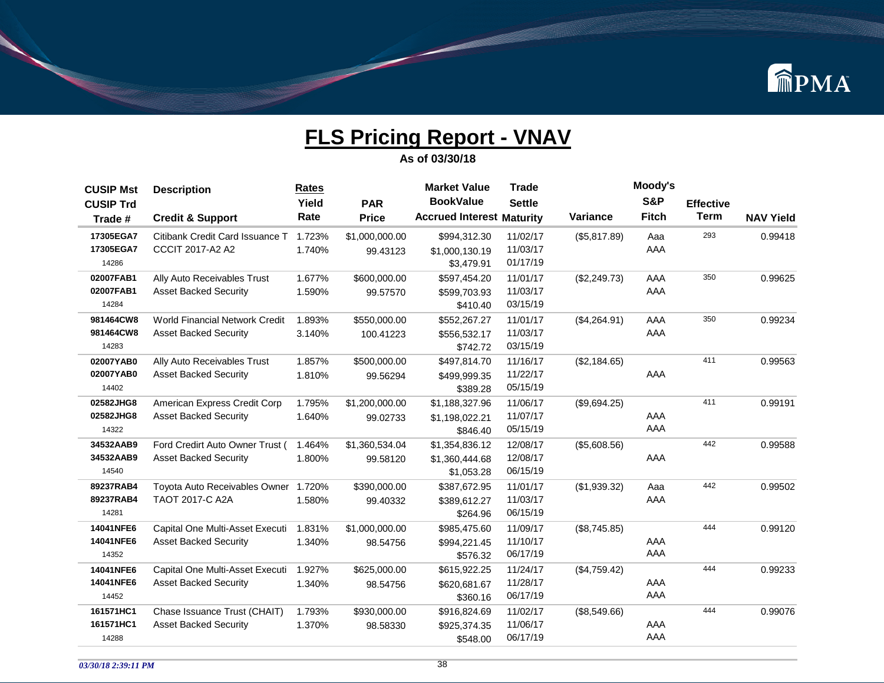

| <b>CUSIP Mst</b> | <b>Description</b>                    | <b>Rates</b> |                | <b>Market Value</b>              | <b>Trade</b>  |              | Moody's        |                  |                  |
|------------------|---------------------------------------|--------------|----------------|----------------------------------|---------------|--------------|----------------|------------------|------------------|
| <b>CUSIP Trd</b> |                                       | Yield        | <b>PAR</b>     | <b>BookValue</b>                 | <b>Settle</b> |              | <b>S&amp;P</b> | <b>Effective</b> |                  |
| Trade #          | <b>Credit &amp; Support</b>           | Rate         | <b>Price</b>   | <b>Accrued Interest Maturity</b> |               | Variance     | <b>Fitch</b>   | <b>Term</b>      | <b>NAV Yield</b> |
| 17305EGA7        | Citibank Credit Card Issuance T       | 1.723%       | \$1,000,000.00 | \$994,312.30                     | 11/02/17      | (\$5,817.89) | Aaa            | 293              | 0.99418          |
| 17305EGA7        | CCCIT 2017-A2 A2                      | 1.740%       | 99.43123       | \$1,000,130.19                   | 11/03/17      |              | AAA            |                  |                  |
| 14286            |                                       |              |                | \$3,479.91                       | 01/17/19      |              |                |                  |                  |
| 02007FAB1        | Ally Auto Receivables Trust           | 1.677%       | \$600,000.00   | \$597,454.20                     | 11/01/17      | (\$2,249.73) | AAA            | 350              | 0.99625          |
| 02007FAB1        | <b>Asset Backed Security</b>          | 1.590%       | 99.57570       | \$599,703.93                     | 11/03/17      |              | AAA            |                  |                  |
| 14284            |                                       |              |                | \$410.40                         | 03/15/19      |              |                |                  |                  |
| 981464CW8        | <b>World Financial Network Credit</b> | 1.893%       | \$550,000.00   | \$552,267.27                     | 11/01/17      | (\$4,264.91) | AAA            | 350              | 0.99234          |
| 981464CW8        | <b>Asset Backed Security</b>          | 3.140%       | 100.41223      | \$556,532.17                     | 11/03/17      |              | AAA            |                  |                  |
| 14283            |                                       |              |                | \$742.72                         | 03/15/19      |              |                |                  |                  |
| 02007YAB0        | Ally Auto Receivables Trust           | 1.857%       | \$500,000.00   | \$497,814.70                     | 11/16/17      | (\$2,184.65) |                | 411              | 0.99563          |
| 02007YAB0        | <b>Asset Backed Security</b>          | 1.810%       | 99.56294       | \$499,999.35                     | 11/22/17      |              | AAA            |                  |                  |
| 14402            |                                       |              |                | \$389.28                         | 05/15/19      |              |                |                  |                  |
| 02582JHG8        | American Express Credit Corp          | 1.795%       | \$1,200,000.00 | \$1,188,327.96                   | 11/06/17      | (\$9,694.25) |                | 411              | 0.99191          |
| 02582JHG8        | <b>Asset Backed Security</b>          | 1.640%       | 99.02733       | \$1,198,022.21                   | 11/07/17      |              | AAA            |                  |                  |
| 14322            |                                       |              |                | \$846.40                         | 05/15/19      |              | AAA            |                  |                  |
| 34532AAB9        | Ford Credirt Auto Owner Trust (       | 1.464%       | \$1,360,534.04 | \$1,354,836.12                   | 12/08/17      | (\$5,608.56) |                | 442              | 0.99588          |
| 34532AAB9        | <b>Asset Backed Security</b>          | 1.800%       | 99.58120       | \$1,360,444.68                   | 12/08/17      |              | AAA            |                  |                  |
| 14540            |                                       |              |                | \$1,053.28                       | 06/15/19      |              |                |                  |                  |
| 89237RAB4        | Toyota Auto Receivables Owner         | 1.720%       | \$390,000.00   | \$387,672.95                     | 11/01/17      | (\$1,939.32) | Aaa            | 442              | 0.99502          |
| 89237RAB4        | TAOT 2017-C A2A                       | 1.580%       | 99.40332       | \$389,612.27                     | 11/03/17      |              | AAA            |                  |                  |
| 14281            |                                       |              |                | \$264.96                         | 06/15/19      |              |                |                  |                  |
| 14041NFE6        | Capital One Multi-Asset Executi       | 1.831%       | \$1,000,000.00 | \$985,475.60                     | 11/09/17      | (\$8,745.85) |                | 444              | 0.99120          |
| 14041NFE6        | <b>Asset Backed Security</b>          | 1.340%       | 98.54756       | \$994,221.45                     | 11/10/17      |              | AAA            |                  |                  |
| 14352            |                                       |              |                | \$576.32                         | 06/17/19      |              | AAA            |                  |                  |
| 14041NFE6        | Capital One Multi-Asset Executi       | 1.927%       | \$625,000.00   | \$615,922.25                     | 11/24/17      | (\$4,759.42) |                | 444              | 0.99233          |
| 14041NFE6        | <b>Asset Backed Security</b>          | 1.340%       | 98.54756       | \$620,681.67                     | 11/28/17      |              | AAA            |                  |                  |
| 14452            |                                       |              |                | \$360.16                         | 06/17/19      |              | AAA            |                  |                  |
| 161571HC1        | Chase Issuance Trust (CHAIT)          | 1.793%       | \$930,000.00   | \$916,824.69                     | 11/02/17      | (\$8,549.66) |                | 444              | 0.99076          |
| 161571HC1        | <b>Asset Backed Security</b>          | 1.370%       | 98.58330       | \$925,374.35                     | 11/06/17      |              | AAA            |                  |                  |
| 14288            |                                       |              |                | \$548.00                         | 06/17/19      |              | AAA            |                  |                  |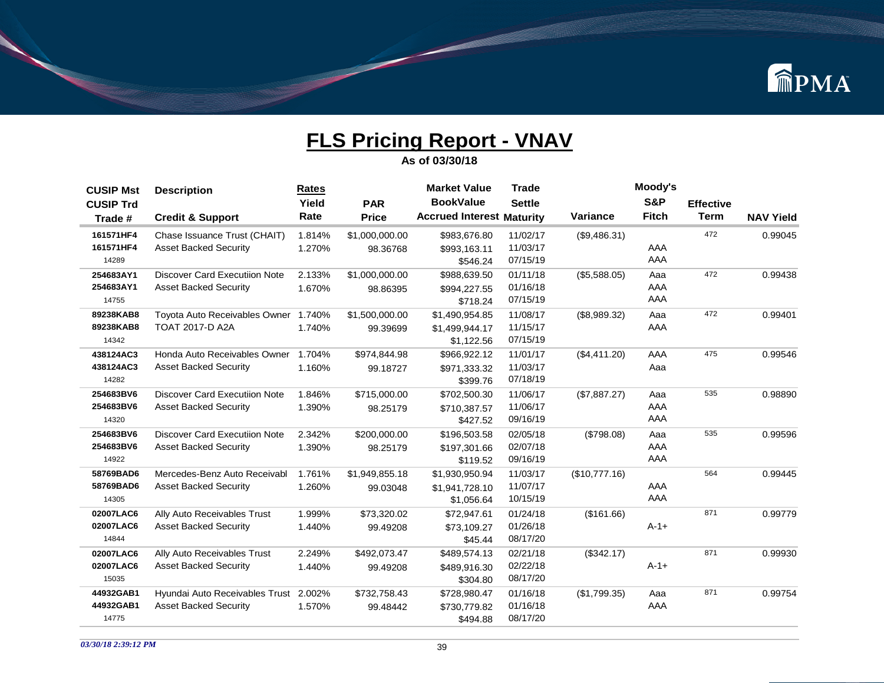

| <b>BookValue</b><br>S&P<br><b>Settle</b><br>Yield<br><b>PAR</b><br><b>Effective</b><br><b>CUSIP Trd</b><br><b>Term</b><br><b>Accrued Interest Maturity</b><br><b>Fitch</b><br>Rate<br><b>Variance</b><br><b>Price</b><br><b>NAV Yield</b><br><b>Credit &amp; Support</b><br>Trade #<br>472<br>161571HF4<br>0.99045<br>Chase Issuance Trust (CHAIT)<br>1.814%<br>\$1,000,000.00<br>\$983,676.80<br>11/02/17<br>(\$9,486.31)<br>161571HF4<br>11/03/17<br>AAA<br><b>Asset Backed Security</b><br>1.270%<br>98.36768<br>\$993,163.11<br>AAA<br>07/15/19<br>14289<br>\$546.24<br>472<br><b>Discover Card Executiion Note</b><br>2.133%<br>01/11/18<br>0.99438<br>254683AY1<br>\$1,000,000.00<br>\$988,639.50<br>(\$5,588.05)<br>Aaa<br>01/16/18<br>AAA<br>254683AY1<br><b>Asset Backed Security</b><br>1.670%<br>98.86395<br>\$994,227.55<br>AAA<br>07/15/19<br>14755<br>\$718.24<br>472<br>Toyota Auto Receivables Owner<br>89238KAB8<br>1.740%<br>\$1,500,000.00<br>\$1,490,954.85<br>11/08/17<br>(\$8,989.32)<br>0.99401<br>Aaa<br>89238KAB8<br>AAA<br><b>TOAT 2017-D A2A</b><br>11/15/17<br>1.740%<br>\$1,499,944.17<br>99.39699<br>07/15/19<br>14342<br>\$1,122.56<br>475<br>1.704%<br>11/01/17<br>438124AC3<br>Honda Auto Receivables Owner<br>\$974,844.98<br>\$966,922.12<br>0.99546<br>(\$4,411.20)<br>AAA<br>438124AC3<br>11/03/17<br><b>Asset Backed Security</b><br>1.160%<br>Aaa<br>99.18727<br>\$971,333.32<br>07/18/19<br>14282<br>\$399.76<br>254683BV6<br><b>Discover Card Executiion Note</b><br>1.846%<br>11/06/17<br>535<br>0.98890<br>\$715,000.00<br>\$702,500.30<br>(\$7,887.27)<br>Aaa<br>11/06/17<br>AAA<br>254683BV6<br><b>Asset Backed Security</b><br>1.390%<br>98.25179<br>\$710,387.57<br>AAA<br>09/16/19<br>14320<br>\$427.52<br>535<br><b>Discover Card Executiion Note</b><br>2.342%<br>02/05/18<br>0.99596<br>254683BV6<br>\$200,000.00<br>\$196,503.58<br>(\$798.08)<br>Aaa<br>AAA<br>254683BV6<br><b>Asset Backed Security</b><br>02/07/18<br>1.390%<br>98.25179<br>\$197,301.66<br>AAA<br>09/16/19<br>14922<br>\$119.52<br>564<br>58769BAD6<br>Mercedes-Benz Auto Receivabl<br>1.761%<br>11/03/17<br>\$1,949,855.18<br>\$1,930,950.94<br>(\$10,777.16)<br>0.99445<br>AAA<br>58769BAD6<br><b>Asset Backed Security</b><br>11/07/17<br>1.260%<br>\$1,941,728.10<br>99.03048<br>AAA<br>10/15/19<br>14305<br>\$1,056.64<br>871<br>02007LAC6<br>1.999%<br>01/24/18<br>0.99779<br>Ally Auto Receivables Trust<br>\$73,320.02<br>\$72.947.61<br>(\$161.66)<br>02007LAC6<br>01/26/18<br>$A - 1 +$<br><b>Asset Backed Security</b><br>1.440%<br>\$73,109.27<br>99.49208<br>08/17/20<br>14844<br>\$45.44<br>871<br>Ally Auto Receivables Trust<br>02/21/18<br>0.99930<br>02007LAC6<br>2.249%<br>\$492,073.47<br>\$489,574.13<br>(\$342.17)<br>$A - 1 +$<br>02007LAC6<br><b>Asset Backed Security</b><br>02/22/18<br>1.440%<br>99.49208<br>\$489,916.30<br>08/17/20<br>15035<br>\$304.80<br>871<br>Hyundai Auto Receivables Trust<br>01/16/18<br>0.99754<br>44932GAB1<br>2.002%<br>\$732,758.43<br>\$728,980.47<br>(\$1,799.35)<br>Aaa<br>01/16/18<br>44932GAB1<br><b>Asset Backed Security</b><br>AAA<br>1.570%<br>99.48442<br>\$730,779.82<br>08/17/20<br>14775<br>\$494.88 | <b>CUSIP Mst</b> | <b>Description</b> | Rates | <b>Market Value</b> | <b>Trade</b> | Moody's |  |
|----------------------------------------------------------------------------------------------------------------------------------------------------------------------------------------------------------------------------------------------------------------------------------------------------------------------------------------------------------------------------------------------------------------------------------------------------------------------------------------------------------------------------------------------------------------------------------------------------------------------------------------------------------------------------------------------------------------------------------------------------------------------------------------------------------------------------------------------------------------------------------------------------------------------------------------------------------------------------------------------------------------------------------------------------------------------------------------------------------------------------------------------------------------------------------------------------------------------------------------------------------------------------------------------------------------------------------------------------------------------------------------------------------------------------------------------------------------------------------------------------------------------------------------------------------------------------------------------------------------------------------------------------------------------------------------------------------------------------------------------------------------------------------------------------------------------------------------------------------------------------------------------------------------------------------------------------------------------------------------------------------------------------------------------------------------------------------------------------------------------------------------------------------------------------------------------------------------------------------------------------------------------------------------------------------------------------------------------------------------------------------------------------------------------------------------------------------------------------------------------------------------------------------------------------------------------------------------------------------------------------------------------------------------------------------------------------------------------------------------------------------------------------------------------------------------------------------------------------------------------------------------------------------------------------------------------------------------------------------------------------------------------------------------------------------------------------------------------------------------------------------------------------------------------------------------------------|------------------|--------------------|-------|---------------------|--------------|---------|--|
|                                                                                                                                                                                                                                                                                                                                                                                                                                                                                                                                                                                                                                                                                                                                                                                                                                                                                                                                                                                                                                                                                                                                                                                                                                                                                                                                                                                                                                                                                                                                                                                                                                                                                                                                                                                                                                                                                                                                                                                                                                                                                                                                                                                                                                                                                                                                                                                                                                                                                                                                                                                                                                                                                                                                                                                                                                                                                                                                                                                                                                                                                                                                                                                                    |                  |                    |       |                     |              |         |  |
|                                                                                                                                                                                                                                                                                                                                                                                                                                                                                                                                                                                                                                                                                                                                                                                                                                                                                                                                                                                                                                                                                                                                                                                                                                                                                                                                                                                                                                                                                                                                                                                                                                                                                                                                                                                                                                                                                                                                                                                                                                                                                                                                                                                                                                                                                                                                                                                                                                                                                                                                                                                                                                                                                                                                                                                                                                                                                                                                                                                                                                                                                                                                                                                                    |                  |                    |       |                     |              |         |  |
|                                                                                                                                                                                                                                                                                                                                                                                                                                                                                                                                                                                                                                                                                                                                                                                                                                                                                                                                                                                                                                                                                                                                                                                                                                                                                                                                                                                                                                                                                                                                                                                                                                                                                                                                                                                                                                                                                                                                                                                                                                                                                                                                                                                                                                                                                                                                                                                                                                                                                                                                                                                                                                                                                                                                                                                                                                                                                                                                                                                                                                                                                                                                                                                                    |                  |                    |       |                     |              |         |  |
|                                                                                                                                                                                                                                                                                                                                                                                                                                                                                                                                                                                                                                                                                                                                                                                                                                                                                                                                                                                                                                                                                                                                                                                                                                                                                                                                                                                                                                                                                                                                                                                                                                                                                                                                                                                                                                                                                                                                                                                                                                                                                                                                                                                                                                                                                                                                                                                                                                                                                                                                                                                                                                                                                                                                                                                                                                                                                                                                                                                                                                                                                                                                                                                                    |                  |                    |       |                     |              |         |  |
|                                                                                                                                                                                                                                                                                                                                                                                                                                                                                                                                                                                                                                                                                                                                                                                                                                                                                                                                                                                                                                                                                                                                                                                                                                                                                                                                                                                                                                                                                                                                                                                                                                                                                                                                                                                                                                                                                                                                                                                                                                                                                                                                                                                                                                                                                                                                                                                                                                                                                                                                                                                                                                                                                                                                                                                                                                                                                                                                                                                                                                                                                                                                                                                                    |                  |                    |       |                     |              |         |  |
|                                                                                                                                                                                                                                                                                                                                                                                                                                                                                                                                                                                                                                                                                                                                                                                                                                                                                                                                                                                                                                                                                                                                                                                                                                                                                                                                                                                                                                                                                                                                                                                                                                                                                                                                                                                                                                                                                                                                                                                                                                                                                                                                                                                                                                                                                                                                                                                                                                                                                                                                                                                                                                                                                                                                                                                                                                                                                                                                                                                                                                                                                                                                                                                                    |                  |                    |       |                     |              |         |  |
|                                                                                                                                                                                                                                                                                                                                                                                                                                                                                                                                                                                                                                                                                                                                                                                                                                                                                                                                                                                                                                                                                                                                                                                                                                                                                                                                                                                                                                                                                                                                                                                                                                                                                                                                                                                                                                                                                                                                                                                                                                                                                                                                                                                                                                                                                                                                                                                                                                                                                                                                                                                                                                                                                                                                                                                                                                                                                                                                                                                                                                                                                                                                                                                                    |                  |                    |       |                     |              |         |  |
|                                                                                                                                                                                                                                                                                                                                                                                                                                                                                                                                                                                                                                                                                                                                                                                                                                                                                                                                                                                                                                                                                                                                                                                                                                                                                                                                                                                                                                                                                                                                                                                                                                                                                                                                                                                                                                                                                                                                                                                                                                                                                                                                                                                                                                                                                                                                                                                                                                                                                                                                                                                                                                                                                                                                                                                                                                                                                                                                                                                                                                                                                                                                                                                                    |                  |                    |       |                     |              |         |  |
|                                                                                                                                                                                                                                                                                                                                                                                                                                                                                                                                                                                                                                                                                                                                                                                                                                                                                                                                                                                                                                                                                                                                                                                                                                                                                                                                                                                                                                                                                                                                                                                                                                                                                                                                                                                                                                                                                                                                                                                                                                                                                                                                                                                                                                                                                                                                                                                                                                                                                                                                                                                                                                                                                                                                                                                                                                                                                                                                                                                                                                                                                                                                                                                                    |                  |                    |       |                     |              |         |  |
|                                                                                                                                                                                                                                                                                                                                                                                                                                                                                                                                                                                                                                                                                                                                                                                                                                                                                                                                                                                                                                                                                                                                                                                                                                                                                                                                                                                                                                                                                                                                                                                                                                                                                                                                                                                                                                                                                                                                                                                                                                                                                                                                                                                                                                                                                                                                                                                                                                                                                                                                                                                                                                                                                                                                                                                                                                                                                                                                                                                                                                                                                                                                                                                                    |                  |                    |       |                     |              |         |  |
|                                                                                                                                                                                                                                                                                                                                                                                                                                                                                                                                                                                                                                                                                                                                                                                                                                                                                                                                                                                                                                                                                                                                                                                                                                                                                                                                                                                                                                                                                                                                                                                                                                                                                                                                                                                                                                                                                                                                                                                                                                                                                                                                                                                                                                                                                                                                                                                                                                                                                                                                                                                                                                                                                                                                                                                                                                                                                                                                                                                                                                                                                                                                                                                                    |                  |                    |       |                     |              |         |  |
|                                                                                                                                                                                                                                                                                                                                                                                                                                                                                                                                                                                                                                                                                                                                                                                                                                                                                                                                                                                                                                                                                                                                                                                                                                                                                                                                                                                                                                                                                                                                                                                                                                                                                                                                                                                                                                                                                                                                                                                                                                                                                                                                                                                                                                                                                                                                                                                                                                                                                                                                                                                                                                                                                                                                                                                                                                                                                                                                                                                                                                                                                                                                                                                                    |                  |                    |       |                     |              |         |  |
|                                                                                                                                                                                                                                                                                                                                                                                                                                                                                                                                                                                                                                                                                                                                                                                                                                                                                                                                                                                                                                                                                                                                                                                                                                                                                                                                                                                                                                                                                                                                                                                                                                                                                                                                                                                                                                                                                                                                                                                                                                                                                                                                                                                                                                                                                                                                                                                                                                                                                                                                                                                                                                                                                                                                                                                                                                                                                                                                                                                                                                                                                                                                                                                                    |                  |                    |       |                     |              |         |  |
|                                                                                                                                                                                                                                                                                                                                                                                                                                                                                                                                                                                                                                                                                                                                                                                                                                                                                                                                                                                                                                                                                                                                                                                                                                                                                                                                                                                                                                                                                                                                                                                                                                                                                                                                                                                                                                                                                                                                                                                                                                                                                                                                                                                                                                                                                                                                                                                                                                                                                                                                                                                                                                                                                                                                                                                                                                                                                                                                                                                                                                                                                                                                                                                                    |                  |                    |       |                     |              |         |  |
|                                                                                                                                                                                                                                                                                                                                                                                                                                                                                                                                                                                                                                                                                                                                                                                                                                                                                                                                                                                                                                                                                                                                                                                                                                                                                                                                                                                                                                                                                                                                                                                                                                                                                                                                                                                                                                                                                                                                                                                                                                                                                                                                                                                                                                                                                                                                                                                                                                                                                                                                                                                                                                                                                                                                                                                                                                                                                                                                                                                                                                                                                                                                                                                                    |                  |                    |       |                     |              |         |  |
|                                                                                                                                                                                                                                                                                                                                                                                                                                                                                                                                                                                                                                                                                                                                                                                                                                                                                                                                                                                                                                                                                                                                                                                                                                                                                                                                                                                                                                                                                                                                                                                                                                                                                                                                                                                                                                                                                                                                                                                                                                                                                                                                                                                                                                                                                                                                                                                                                                                                                                                                                                                                                                                                                                                                                                                                                                                                                                                                                                                                                                                                                                                                                                                                    |                  |                    |       |                     |              |         |  |
|                                                                                                                                                                                                                                                                                                                                                                                                                                                                                                                                                                                                                                                                                                                                                                                                                                                                                                                                                                                                                                                                                                                                                                                                                                                                                                                                                                                                                                                                                                                                                                                                                                                                                                                                                                                                                                                                                                                                                                                                                                                                                                                                                                                                                                                                                                                                                                                                                                                                                                                                                                                                                                                                                                                                                                                                                                                                                                                                                                                                                                                                                                                                                                                                    |                  |                    |       |                     |              |         |  |
|                                                                                                                                                                                                                                                                                                                                                                                                                                                                                                                                                                                                                                                                                                                                                                                                                                                                                                                                                                                                                                                                                                                                                                                                                                                                                                                                                                                                                                                                                                                                                                                                                                                                                                                                                                                                                                                                                                                                                                                                                                                                                                                                                                                                                                                                                                                                                                                                                                                                                                                                                                                                                                                                                                                                                                                                                                                                                                                                                                                                                                                                                                                                                                                                    |                  |                    |       |                     |              |         |  |
|                                                                                                                                                                                                                                                                                                                                                                                                                                                                                                                                                                                                                                                                                                                                                                                                                                                                                                                                                                                                                                                                                                                                                                                                                                                                                                                                                                                                                                                                                                                                                                                                                                                                                                                                                                                                                                                                                                                                                                                                                                                                                                                                                                                                                                                                                                                                                                                                                                                                                                                                                                                                                                                                                                                                                                                                                                                                                                                                                                                                                                                                                                                                                                                                    |                  |                    |       |                     |              |         |  |
|                                                                                                                                                                                                                                                                                                                                                                                                                                                                                                                                                                                                                                                                                                                                                                                                                                                                                                                                                                                                                                                                                                                                                                                                                                                                                                                                                                                                                                                                                                                                                                                                                                                                                                                                                                                                                                                                                                                                                                                                                                                                                                                                                                                                                                                                                                                                                                                                                                                                                                                                                                                                                                                                                                                                                                                                                                                                                                                                                                                                                                                                                                                                                                                                    |                  |                    |       |                     |              |         |  |
|                                                                                                                                                                                                                                                                                                                                                                                                                                                                                                                                                                                                                                                                                                                                                                                                                                                                                                                                                                                                                                                                                                                                                                                                                                                                                                                                                                                                                                                                                                                                                                                                                                                                                                                                                                                                                                                                                                                                                                                                                                                                                                                                                                                                                                                                                                                                                                                                                                                                                                                                                                                                                                                                                                                                                                                                                                                                                                                                                                                                                                                                                                                                                                                                    |                  |                    |       |                     |              |         |  |
|                                                                                                                                                                                                                                                                                                                                                                                                                                                                                                                                                                                                                                                                                                                                                                                                                                                                                                                                                                                                                                                                                                                                                                                                                                                                                                                                                                                                                                                                                                                                                                                                                                                                                                                                                                                                                                                                                                                                                                                                                                                                                                                                                                                                                                                                                                                                                                                                                                                                                                                                                                                                                                                                                                                                                                                                                                                                                                                                                                                                                                                                                                                                                                                                    |                  |                    |       |                     |              |         |  |
|                                                                                                                                                                                                                                                                                                                                                                                                                                                                                                                                                                                                                                                                                                                                                                                                                                                                                                                                                                                                                                                                                                                                                                                                                                                                                                                                                                                                                                                                                                                                                                                                                                                                                                                                                                                                                                                                                                                                                                                                                                                                                                                                                                                                                                                                                                                                                                                                                                                                                                                                                                                                                                                                                                                                                                                                                                                                                                                                                                                                                                                                                                                                                                                                    |                  |                    |       |                     |              |         |  |
|                                                                                                                                                                                                                                                                                                                                                                                                                                                                                                                                                                                                                                                                                                                                                                                                                                                                                                                                                                                                                                                                                                                                                                                                                                                                                                                                                                                                                                                                                                                                                                                                                                                                                                                                                                                                                                                                                                                                                                                                                                                                                                                                                                                                                                                                                                                                                                                                                                                                                                                                                                                                                                                                                                                                                                                                                                                                                                                                                                                                                                                                                                                                                                                                    |                  |                    |       |                     |              |         |  |
|                                                                                                                                                                                                                                                                                                                                                                                                                                                                                                                                                                                                                                                                                                                                                                                                                                                                                                                                                                                                                                                                                                                                                                                                                                                                                                                                                                                                                                                                                                                                                                                                                                                                                                                                                                                                                                                                                                                                                                                                                                                                                                                                                                                                                                                                                                                                                                                                                                                                                                                                                                                                                                                                                                                                                                                                                                                                                                                                                                                                                                                                                                                                                                                                    |                  |                    |       |                     |              |         |  |
|                                                                                                                                                                                                                                                                                                                                                                                                                                                                                                                                                                                                                                                                                                                                                                                                                                                                                                                                                                                                                                                                                                                                                                                                                                                                                                                                                                                                                                                                                                                                                                                                                                                                                                                                                                                                                                                                                                                                                                                                                                                                                                                                                                                                                                                                                                                                                                                                                                                                                                                                                                                                                                                                                                                                                                                                                                                                                                                                                                                                                                                                                                                                                                                                    |                  |                    |       |                     |              |         |  |
|                                                                                                                                                                                                                                                                                                                                                                                                                                                                                                                                                                                                                                                                                                                                                                                                                                                                                                                                                                                                                                                                                                                                                                                                                                                                                                                                                                                                                                                                                                                                                                                                                                                                                                                                                                                                                                                                                                                                                                                                                                                                                                                                                                                                                                                                                                                                                                                                                                                                                                                                                                                                                                                                                                                                                                                                                                                                                                                                                                                                                                                                                                                                                                                                    |                  |                    |       |                     |              |         |  |
|                                                                                                                                                                                                                                                                                                                                                                                                                                                                                                                                                                                                                                                                                                                                                                                                                                                                                                                                                                                                                                                                                                                                                                                                                                                                                                                                                                                                                                                                                                                                                                                                                                                                                                                                                                                                                                                                                                                                                                                                                                                                                                                                                                                                                                                                                                                                                                                                                                                                                                                                                                                                                                                                                                                                                                                                                                                                                                                                                                                                                                                                                                                                                                                                    |                  |                    |       |                     |              |         |  |
|                                                                                                                                                                                                                                                                                                                                                                                                                                                                                                                                                                                                                                                                                                                                                                                                                                                                                                                                                                                                                                                                                                                                                                                                                                                                                                                                                                                                                                                                                                                                                                                                                                                                                                                                                                                                                                                                                                                                                                                                                                                                                                                                                                                                                                                                                                                                                                                                                                                                                                                                                                                                                                                                                                                                                                                                                                                                                                                                                                                                                                                                                                                                                                                                    |                  |                    |       |                     |              |         |  |
|                                                                                                                                                                                                                                                                                                                                                                                                                                                                                                                                                                                                                                                                                                                                                                                                                                                                                                                                                                                                                                                                                                                                                                                                                                                                                                                                                                                                                                                                                                                                                                                                                                                                                                                                                                                                                                                                                                                                                                                                                                                                                                                                                                                                                                                                                                                                                                                                                                                                                                                                                                                                                                                                                                                                                                                                                                                                                                                                                                                                                                                                                                                                                                                                    |                  |                    |       |                     |              |         |  |
|                                                                                                                                                                                                                                                                                                                                                                                                                                                                                                                                                                                                                                                                                                                                                                                                                                                                                                                                                                                                                                                                                                                                                                                                                                                                                                                                                                                                                                                                                                                                                                                                                                                                                                                                                                                                                                                                                                                                                                                                                                                                                                                                                                                                                                                                                                                                                                                                                                                                                                                                                                                                                                                                                                                                                                                                                                                                                                                                                                                                                                                                                                                                                                                                    |                  |                    |       |                     |              |         |  |
|                                                                                                                                                                                                                                                                                                                                                                                                                                                                                                                                                                                                                                                                                                                                                                                                                                                                                                                                                                                                                                                                                                                                                                                                                                                                                                                                                                                                                                                                                                                                                                                                                                                                                                                                                                                                                                                                                                                                                                                                                                                                                                                                                                                                                                                                                                                                                                                                                                                                                                                                                                                                                                                                                                                                                                                                                                                                                                                                                                                                                                                                                                                                                                                                    |                  |                    |       |                     |              |         |  |